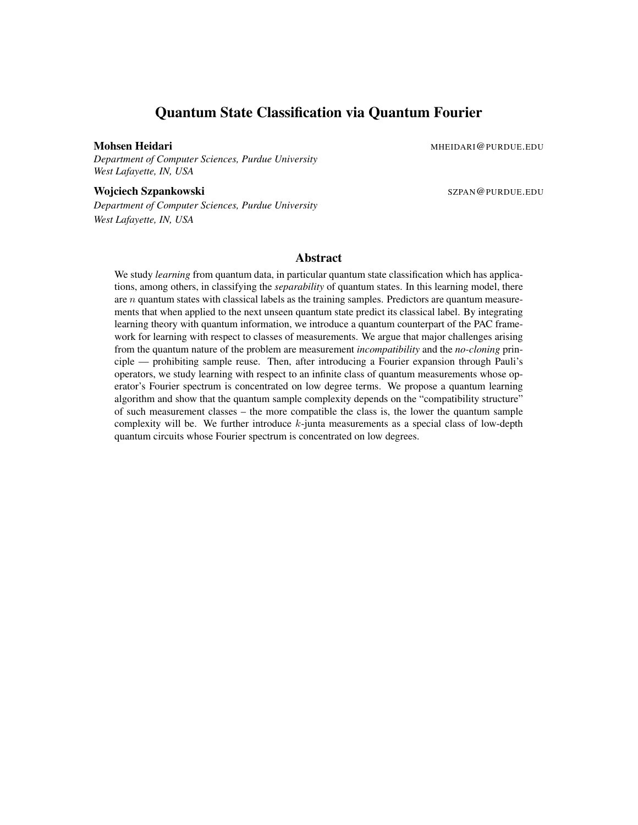## Quantum State Classification via Quantum Fourier

Mohsen Heidari Mahammad Museum Museum Museum Museum Museum Museum Museum Museum Museum Museum Museum Museum Museum Museum Museum Museum Museum Museum Museum Museum Museum Museum Museum Museum Museum Museum Museum Museum Mu

*Department of Computer Sciences, Purdue University West Lafayette, IN, USA*

Wojciech Szpankowski Szpankowski Szpankowski Szpankowski Szpankowski Szpankowski Szpankowski Szpankowski Szpan

*Department of Computer Sciences, Purdue University West Lafayette, IN, USA*

## Abstract

We study *learning* from quantum data, in particular quantum state classification which has applications, among others, in classifying the *separability* of quantum states. In this learning model, there are *n* quantum states with classical labels as the training samples. Predictors are quantum measurements that when applied to the next unseen quantum state predict its classical label. By integrating learning theory with quantum information, we introduce a quantum counterpart of the PAC framework for learning with respect to classes of measurements. We argue that major challenges arising from the quantum nature of the problem are measurement *incompatibility* and the *no-cloning* principle — prohibiting sample reuse. Then, after introducing a Fourier expansion through Pauli's operators, we study learning with respect to an infinite class of quantum measurements whose operator's Fourier spectrum is concentrated on low degree terms. We propose a quantum learning algorithm and show that the quantum sample complexity depends on the "compatibility structure" of such measurement classes – the more compatible the class is, the lower the quantum sample complexity will be. We further introduce k-junta measurements as a special class of low-depth quantum circuits whose Fourier spectrum is concentrated on low degrees.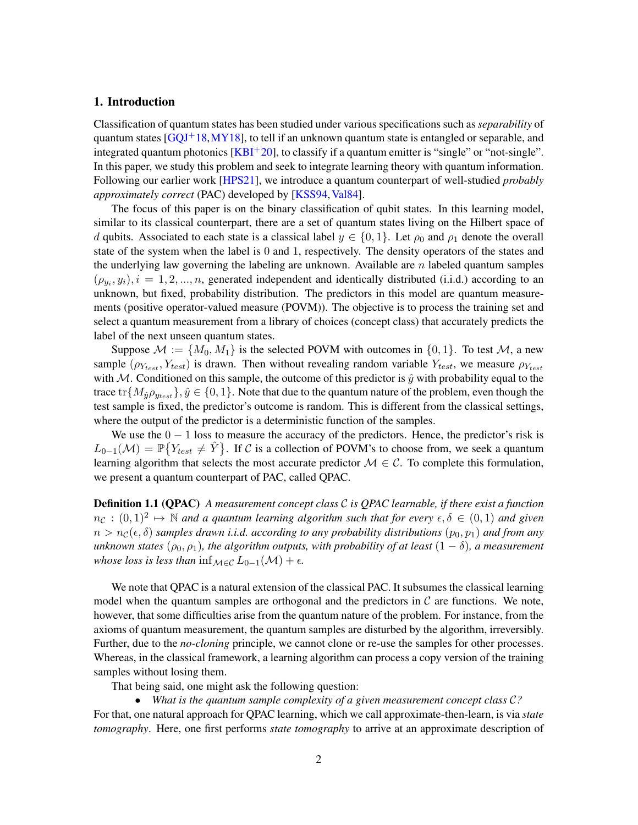## 1. Introduction

Classification of quantum states has been studied under various specifications such as *separability* of quantum states  $[GQJ<sup>+</sup>18,MY18]$  $[GQJ<sup>+</sup>18,MY18]$  $[GQJ<sup>+</sup>18,MY18]$ , to tell if an unknown quantum state is entangled or separable, and integrated quantum photonics  $[KBI<sup>+</sup>20]$  $[KBI<sup>+</sup>20]$ , to classify if a quantum emitter is "single" or "not-single". In this paper, we study this problem and seek to integrate learning theory with quantum information. Following our earlier work [\[HPS21\]](#page-19-1), we introduce a quantum counterpart of well-studied *probably approximately correct* (PAC) developed by [\[KSS94,](#page-20-2) [Val84\]](#page-20-3).

The focus of this paper is on the binary classification of qubit states. In this learning model, similar to its classical counterpart, there are a set of quantum states living on the Hilbert space of d qubits. Associated to each state is a classical label  $y \in \{0, 1\}$ . Let  $\rho_0$  and  $\rho_1$  denote the overall state of the system when the label is 0 and 1, respectively. The density operators of the states and the underlying law governing the labeling are unknown. Available are  $n$  labeled quantum samples  $(\rho_{y_i}, y_i), i = 1, 2, ..., n$ , generated independent and identically distributed (i.i.d.) according to an unknown, but fixed, probability distribution. The predictors in this model are quantum measurements (positive operator-valued measure (POVM)). The objective is to process the training set and select a quantum measurement from a library of choices (concept class) that accurately predicts the label of the next unseen quantum states.

Suppose  $\mathcal{M} := \{M_0, M_1\}$  is the selected POVM with outcomes in  $\{0, 1\}$ . To test  $\mathcal{M}$ , a new sample  $(\rho_{Y_{test}}, Y_{test})$  is drawn. Then without revealing random variable  $Y_{test}$ , we measure  $\rho_{Y_{test}}$ with M. Conditioned on this sample, the outcome of this predictor is  $\hat{y}$  with probability equal to the trace tr $\{M_{\hat{y}}\rho_{y_{test}}\}, \hat{y} \in \{0, 1\}$ . Note that due to the quantum nature of the problem, even though the test sample is fixed, the predictor's outcome is random. This is different from the classical settings, where the output of the predictor is a deterministic function of the samples.

We use the  $0 - 1$  loss to measure the accuracy of the predictors. Hence, the predictor's risk is  $L_{0-1}(\mathcal{M}) = \mathbb{P}\big\{Y_{test} \neq \hat{Y}\big\}$ . If C is a collection of POVM's to choose from, we seek a quantum learning algorithm that selects the most accurate predictor  $\mathcal{M} \in \mathcal{C}$ . To complete this formulation, we present a quantum counterpart of PAC, called QPAC.

Definition 1.1 (QPAC) *A measurement concept class* C *is QPAC learnable, if there exist a function*  $n_{\mathcal{C}}:(0,1)^2\mapsto\mathbb{N}$  and a quantum learning algorithm such that for every  $\epsilon,\delta\in(0,1)$  and given  $n > n_{\mathcal{C}}(\epsilon, \delta)$  *samples drawn i.i.d. according to any probability distributions*  $(p_0, p_1)$  *and from any unknown states* ( $\rho_0, \rho_1$ )*, the algorithm outputs, with probability of at least* (1 −  $\delta$ )*, a measurement whose loss is less than* inf $\mathcal{M} \in \mathcal{C}$   $L_{0-1}(\mathcal{M}) + \epsilon$ .

We note that OPAC is a natural extension of the classical PAC. It subsumes the classical learning model when the quantum samples are orthogonal and the predictors in  $\mathcal C$  are functions. We note, however, that some difficulties arise from the quantum nature of the problem. For instance, from the axioms of quantum measurement, the quantum samples are disturbed by the algorithm, irreversibly. Further, due to the *no-cloning* principle, we cannot clone or re-use the samples for other processes. Whereas, in the classical framework, a learning algorithm can process a copy version of the training samples without losing them.

That being said, one might ask the following question:

• *What is the quantum sample complexity of a given measurement concept class* C*?* For that, one natural approach for QPAC learning, which we call approximate-then-learn, is via *state*

*tomography*. Here, one first performs *state tomography* to arrive at an approximate description of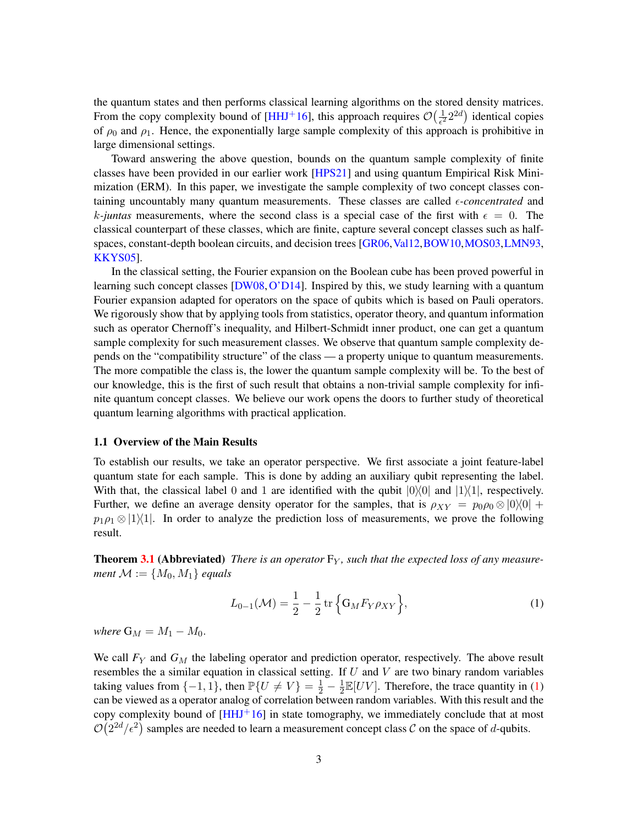the quantum states and then performs classical learning algorithms on the stored density matrices. From the copy complexity bound of [\[HHJ](#page-19-2)<sup>+</sup>16], this approach requires  $\mathcal{O}(\frac{1}{\epsilon^2})$  $\frac{1}{e^2}2^{2d}$ ) identical copies of  $\rho_0$  and  $\rho_1$ . Hence, the exponentially large sample complexity of this approach is prohibitive in large dimensional settings.

Toward answering the above question, bounds on the quantum sample complexity of finite classes have been provided in our earlier work [\[HPS21\]](#page-19-1) and using quantum Empirical Risk Minimization (ERM). In this paper, we investigate the sample complexity of two concept classes containing uncountably many quantum measurements. These classes are called  $\epsilon$ -*concentrated* and k-juntas measurements, where the second class is a special case of the first with  $\epsilon = 0$ . The classical counterpart of these classes, which are finite, capture several concept classes such as half-spaces, constant-depth boolean circuits, and decision trees [\[GR06,](#page-19-3) [Val12,](#page-21-0) [BOW10,](#page-18-0) [MOS03,](#page-20-4) [LMN93,](#page-20-5) [KKYS05\]](#page-20-6).

In the classical setting, the Fourier expansion on the Boolean cube has been proved powerful in learning such concept classes [\[DW08,](#page-19-4) [O'D14\]](#page-20-7). Inspired by this, we study learning with a quantum Fourier expansion adapted for operators on the space of qubits which is based on Pauli operators. We rigorously show that by applying tools from statistics, operator theory, and quantum information such as operator Chernoff's inequality, and Hilbert-Schmidt inner product, one can get a quantum sample complexity for such measurement classes. We observe that quantum sample complexity depends on the "compatibility structure" of the class — a property unique to quantum measurements. The more compatible the class is, the lower the quantum sample complexity will be. To the best of our knowledge, this is the first of such result that obtains a non-trivial sample complexity for infinite quantum concept classes. We believe our work opens the doors to further study of theoretical quantum learning algorithms with practical application.

#### 1.1 Overview of the Main Results

To establish our results, we take an operator perspective. We first associate a joint feature-label quantum state for each sample. This is done by adding an auxiliary qubit representing the label. With that, the classical label 0 and 1 are identified with the qubit  $|0\rangle\langle 0|$  and  $|1\rangle\langle 1|$ , respectively. Further, we define an average density operator for the samples, that is  $\rho_{XY} = p_0 \rho_0 \otimes |0\rangle\langle 0| +$  $p_1 \rho_1 \otimes |1\rangle\langle 1|$ . In order to analyze the prediction loss of measurements, we prove the following result.

**Theorem [3.1](#page-7-0) (Abbreviated)** There is an operator  $F_Y$ , such that the expected loss of any measure*ment*  $M := \{M_0, M_1\}$  *equals* 

<span id="page-2-0"></span>
$$
L_{0-1}(\mathcal{M}) = \frac{1}{2} - \frac{1}{2} \text{tr} \left\{ G_M F_Y \rho_{XY} \right\},\tag{1}
$$

*where*  $G_M = M_1 - M_0$ .

We call  $F<sub>Y</sub>$  and  $G<sub>M</sub>$  the labeling operator and prediction operator, respectively. The above result resembles the a similar equation in classical setting. If  $U$  and  $V$  are two binary random variables taking values from  $\{-1, 1\}$ , then  $\mathbb{P}\{U \neq V\} = \frac{1}{2} - \frac{1}{2}$  $\frac{1}{2}\mathbb{E}[UV]$ . Therefore, the trace quantity in [\(1\)](#page-2-0) can be viewed as a operator analog of correlation between random variables. With this result and the copy complexity bound of  $[HHJ<sup>+</sup>16]$  $[HHJ<sup>+</sup>16]$  in state tomography, we immediately conclude that at most  $\mathcal{O}(2^{2d}/\epsilon^2)$  samples are needed to learn a measurement concept class C on the space of d-qubits.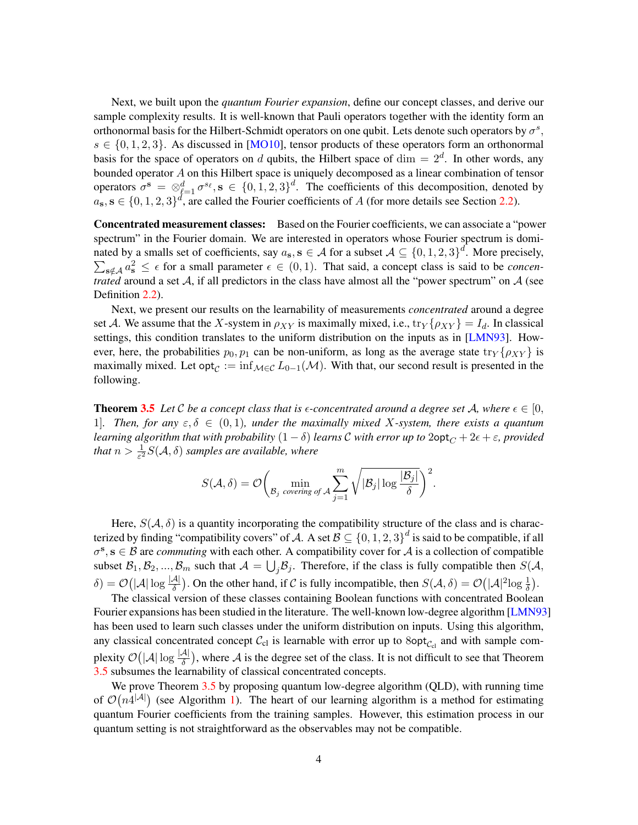Next, we built upon the *quantum Fourier expansion*, define our concept classes, and derive our sample complexity results. It is well-known that Pauli operators together with the identity form an orthonormal basis for the Hilbert-Schmidt operators on one qubit. Lets denote such operators by  $\sigma^s$ ,  $s \in \{0, 1, 2, 3\}$ . As discussed in [\[MO10\]](#page-20-8), tensor products of these operators form an orthonormal basis for the space of operators on d qubits, the Hilbert space of  $\dim = 2^d$ . In other words, any bounded operator A on this Hilbert space is uniquely decomposed as a linear combination of tensor operators  $\sigma^s = \otimes_{\ell=1}^d \sigma^{s_\ell}, s \in \{0, 1, 2, 3\}^d$ . The coefficients of this decomposition, denoted by  $a_{\rm s}, s \in \{0, 1, 2, 3\}^d$ , are called the Fourier coefficients of A (for more details see Section [2.2\)](#page-6-0).

Concentrated measurement classes: Based on the Fourier coefficients, we can associate a "power spectrum" in the Fourier domain. We are interested in operators whose Fourier spectrum is dominated by a smalls set of coefficients, say  $a_s$ ,  $s \in A$  for a subset  $A \subseteq \{0, 1, 2, 3\}^d$  $\sum$ . More precisely,  $\int_{\mathbf{s}\notin\mathcal{A}} a_{\mathbf{s}}^2 \leq \epsilon$  for a small parameter  $\epsilon \in (0,1)$ . That said, a concept class is said to be *concentrated* around a set A, if all predictors in the class have almost all the "power spectrum" on A (see Definition [2.2\)](#page-7-1).

Next, we present our results on the learnability of measurements *concentrated* around a degree set A. We assume that the X-system in  $\rho_{XY}$  is maximally mixed, i.e.,  $\text{tr}_Y\{\rho_{XY}\}=I_d$ . In classical settings, this condition translates to the uniform distribution on the inputs as in [\[LMN93\]](#page-20-5). However, here, the probabilities  $p_0, p_1$  can be non-uniform, as long as the average state  $\text{tr}_Y\{\rho_{XY}\}\$ is maximally mixed. Let opt $_C := \inf_{\mathcal{M} \in \mathcal{C}} L_{0-1}(\mathcal{M})$ . With that, our second result is presented in the following.

**Theorem [3.5](#page-8-0)** Let C be a concept class that is  $\epsilon$ -concentrated around a degree set A, where  $\epsilon \in [0,1]$ 1]. Then, for any  $\varepsilon, \delta \in (0, 1)$ , under the maximally mixed X-system, there exists a quantum *learning algorithm that with probability*  $(1 - \delta)$  *learns* C *with error up to*  $2$ opt $_C + 2\epsilon + \epsilon$ *, provided* that  $n > \frac{1}{\varepsilon^2}S(\mathcal{A}, \delta)$  samples are available, where

$$
S(\mathcal{A}, \delta) = \mathcal{O}\bigg(\min_{\mathcal{B}_j \text{ covering of } \mathcal{A}} \sum_{j=1}^m \sqrt{|\mathcal{B}_j| \log \frac{|\mathcal{B}_j|}{\delta}}\bigg)^2.
$$

Here,  $S(A, \delta)$  is a quantity incorporating the compatibility structure of the class and is characterized by finding "compatibility covers" of A. A set  $\mathcal{B} \subseteq \{0,1,2,3\}^d$  is said to be compatible, if all  $\sigma^s$ ,  $s \in \mathcal{B}$  are *commuting* with each other. A compatibility cover for A is a collection of compatible subset  $B_1, B_2, ..., B_m$  such that  $A = \bigcup_j B_j$ . Therefore, if the class is fully compatible then  $S(A, A)$  $\delta$ ) =  $\mathcal{O}(|\mathcal{A}| \log \frac{|\mathcal{A}|}{\delta})$ . On the other hand, if C is fully incompatible, then  $S(\mathcal{A}, \delta) = \mathcal{O}(|\mathcal{A}|^2 \log \frac{1}{\delta})$ .

The classical version of these classes containing Boolean functions with concentrated Boolean Fourier expansions has been studied in the literature. The well-known low-degree algorithm [\[LMN93\]](#page-20-5) has been used to learn such classes under the uniform distribution on inputs. Using this algorithm, any classical concentrated concept  $C_{\text{cl}}$  is learnable with error up to  $8\text{opt}_{C_{\text{cl}}}$  and with sample complexity  $\mathcal{O}(|A| \log \frac{|A|}{\delta})$ , where A is the degree set of the class. It is not difficult to see that Theorem [3.5](#page-8-0) subsumes the learnability of classical concentrated concepts.

We prove Theorem [3.5](#page-8-0) by proposing quantum low-degree algorithm (QLD), with running time of  $\mathcal{O}(n4^{|\mathcal{A}|})$  (see Algorithm [1\)](#page-9-0). The heart of our learning algorithm is a method for estimating quantum Fourier coefficients from the training samples. However, this estimation process in our quantum setting is not straightforward as the observables may not be compatible.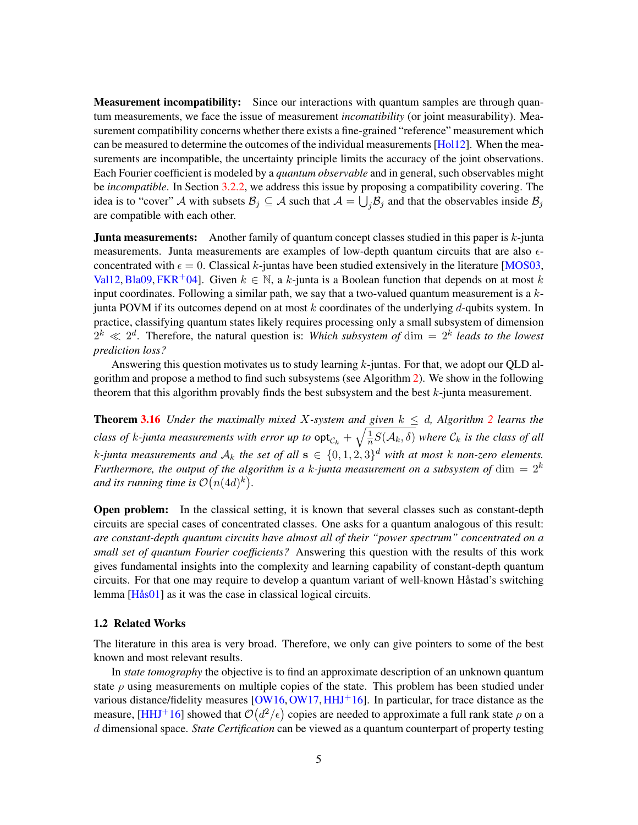**Measurement incompatibility:** Since our interactions with quantum samples are through quantum measurements, we face the issue of measurement *incomatibility* (or joint measurability). Measurement compatibility concerns whether there exists a fine-grained "reference" measurement which can be measured to determine the outcomes of the individual measurements [\[Hol12\]](#page-19-5). When the measurements are incompatible, the uncertainty principle limits the accuracy of the joint observations. Each Fourier coefficient is modeled by a *quantum observable* and in general, such observables might be *incompatible*. In Section [3.2.2,](#page-10-0) we address this issue by proposing a compatibility covering. The idea is to "cover" A with subsets  $B_j \subseteq A$  such that  $A = \bigcup_j B_j$  and that the observables inside  $B_j$ are compatible with each other.

**Junta measurements:** Another family of quantum concept classes studied in this paper is  $k$ -junta measurements. Junta measurements are examples of low-depth quantum circuits that are also  $\epsilon$ concentrated with  $\epsilon = 0$ . Classical k-juntas have been studied extensively in the literature [\[MOS03,](#page-20-4) [Val12,](#page-21-0) [Bla09,](#page-18-1) [FKR](#page-19-6)<sup>+</sup>04]. Given  $k \in \mathbb{N}$ , a k-junta is a Boolean function that depends on at most k input coordinates. Following a similar path, we say that a two-valued quantum measurement is a  $k$ junta POVM if its outcomes depend on at most k coordinates of the underlying d-qubits system. In practice, classifying quantum states likely requires processing only a small subsystem of dimension  $2^k \ll 2^d$ . Therefore, the natural question is: *Which subsystem of* dim  $= 2^k$  *leads to the lowest prediction loss?*

Answering this question motivates us to study learning  $k$ -juntas. For that, we adopt our QLD algorithm and propose a method to find such subsystems (see Algorithm [2\)](#page-14-0). We show in the following theorem that this algorithm provably finds the best subsystem and the best  $k$ -junta measurement.

**Theorem [3.16](#page-13-0)** *Under the maximally mixed X-system and given*  $k \leq d$ , *Algorithm [2](#page-14-0) learns the class of k-junta measurements with error up to*  $\mathsf{opt}_{\mathcal{C}_k} + \sqrt{\frac{1}{n}}$  $\frac{1}{n}S(\mathcal{A}_k,\delta)$  where  $\mathcal{C}_k$  is the class of all k-junta measurements and  $A_k$  the set of all  $s \in \{0, 1, 2, 3\}^d$  with at most k non-zero elements. *Furthermore, the output of the algorithm is a k-junta measurement on a subsystem of*  $\dim = 2^k$ and its running time is  $\mathcal{O}(n(4d)^k)$ .

Open problem: In the classical setting, it is known that several classes such as constant-depth circuits are special cases of concentrated classes. One asks for a quantum analogous of this result: *are constant-depth quantum circuits have almost all of their "power spectrum" concentrated on a small set of quantum Fourier coefficients?* Answering this question with the results of this work gives fundamental insights into the complexity and learning capability of constant-depth quantum circuits. For that one may require to develop a quantum variant of well-known Håstad's switching lemma [Hås01] as it was the case in classical logical circuits.

#### 1.2 Related Works

The literature in this area is very broad. Therefore, we only can give pointers to some of the best known and most relevant results.

In *state tomography* the objective is to find an approximate description of an unknown quantum state  $\rho$  using measurements on multiple copies of the state. This problem has been studied under various distance/fidelity measures  $[OW16, OW17, HHJ<sup>+</sup>16]$  $[OW16, OW17, HHJ<sup>+</sup>16]$  $[OW16, OW17, HHJ<sup>+</sup>16]$  $[OW16, OW17, HHJ<sup>+</sup>16]$  $[OW16, OW17, HHJ<sup>+</sup>16]$  $[OW16, OW17, HHJ<sup>+</sup>16]$ . In particular, for trace distance as the measure, [\[HHJ](#page-19-2)+16] showed that  $\mathcal{O}(d^2/\epsilon)$  copies are needed to approximate a full rank state  $\rho$  on a d dimensional space. *State Certification* can be viewed as a quantum counterpart of property testing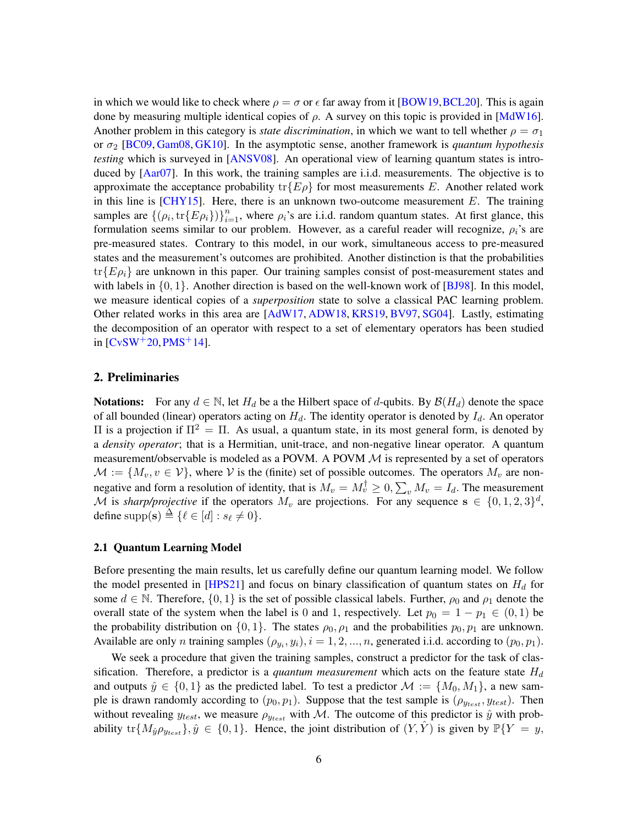in which we would like to check where  $\rho = \sigma$  or  $\epsilon$  far away from it [\[BOW19,](#page-19-8) [BCL20\]](#page-18-2). This is again done by measuring multiple identical copies of  $\rho$ . A survey on this topic is provided in [\[MdW16\]](#page-20-11). Another problem in this category is *state discrimination*, in which we want to tell whether  $\rho = \sigma_1$ or  $\sigma_2$  [\[BC09,](#page-18-3) [Gam08,](#page-19-9) [GK10\]](#page-19-10). In the asymptotic sense, another framework is *quantum hypothesis testing* which is surveyed in [\[ANSV08\]](#page-18-4). An operational view of learning quantum states is introduced by [\[Aar07\]](#page-18-5). In this work, the training samples are i.i.d. measurements. The objective is to approximate the acceptance probability  $\text{tr}\{E\rho\}$  for most measurements E. Another related work in this line is  $[CHY15]$ . Here, there is an unknown two-outcome measurement E. The training samples are  $\{\rho_i, \text{tr}\{E\rho_i\}\}_{i=1}^n$ , where  $\rho_i$ 's are i.i.d. random quantum states. At first glance, this formulation seems similar to our problem. However, as a careful reader will recognize,  $\rho_i$ 's are pre-measured states. Contrary to this model, in our work, simultaneous access to pre-measured states and the measurement's outcomes are prohibited. Another distinction is that the probabilities  $\text{tr}\{E\rho_i\}$  are unknown in this paper. Our training samples consist of post-measurement states and with labels in  $\{0, 1\}$ . Another direction is based on the well-known work of [\[BJ98\]](#page-18-6). In this model, we measure identical copies of a *superposition* state to solve a classical PAC learning problem. Other related works in this area are [\[AdW17,](#page-18-7) [ADW18,](#page-18-8) [KRS19,](#page-20-12) [BV97,](#page-19-12) [SG04\]](#page-20-13). Lastly, estimating the decomposition of an operator with respect to a set of elementary operators has been studied in  $[CvSW<sup>+</sup>20, PMS<sup>+</sup>14]$  $[CvSW<sup>+</sup>20, PMS<sup>+</sup>14]$  $[CvSW<sup>+</sup>20, PMS<sup>+</sup>14]$  $[CvSW<sup>+</sup>20, PMS<sup>+</sup>14]$ .

## 2. Preliminaries

**Notations:** For any  $d \in \mathbb{N}$ , let  $H_d$  be a the Hilbert space of d-qubits. By  $\mathcal{B}(H_d)$  denote the space of all bounded (linear) operators acting on  $H_d$ . The identity operator is denoted by  $I_d$ . An operator Π is a projection if  $\Pi^2 = \Pi$ . As usual, a quantum state, in its most general form, is denoted by a *density operator*; that is a Hermitian, unit-trace, and non-negative linear operator. A quantum measurement/observable is modeled as a POVM. A POVM  $M$  is represented by a set of operators  $\mathcal{M} := \{M_v, v \in \mathcal{V}\}\$ , where V is the (finite) set of possible outcomes. The operators  $M_v$  are nonnegative and form a resolution of identity, that is  $M_v = M_v^{\dagger} \geq 0$ ,  $\sum_v M_v = I_d$ . The measurement M is *sharp/projective* if the operators  $M_v$  are projections. For any sequence  $s \in \{0, 1, 2, 3\}^d$ , define supp(s)  $\triangleq$  { $\ell \in [d] : s_{\ell} \neq 0$  }.

#### 2.1 Quantum Learning Model

Before presenting the main results, let us carefully define our quantum learning model. We follow the model presented in [\[HPS21\]](#page-19-1) and focus on binary classification of quantum states on  $H_d$  for some  $d \in \mathbb{N}$ . Therefore,  $\{0, 1\}$  is the set of possible classical labels. Further,  $\rho_0$  and  $\rho_1$  denote the overall state of the system when the label is 0 and 1, respectively. Let  $p_0 = 1 - p_1 \in (0, 1)$  be the probability distribution on  $\{0, 1\}$ . The states  $\rho_0, \rho_1$  and the probabilities  $p_0, p_1$  are unknown. Available are only *n* training samples  $(\rho_{y_i}, y_i)$ ,  $i = 1, 2, ..., n$ , generated i.i.d. according to  $(p_0, p_1)$ .

We seek a procedure that given the training samples, construct a predictor for the task of classification. Therefore, a predictor is a *quantum measurement* which acts on the feature state  $H_d$ and outputs  $\hat{y} \in \{0, 1\}$  as the predicted label. To test a predictor  $\mathcal{M} := \{M_0, M_1\}$ , a new sample is drawn randomly according to  $(p_0, p_1)$ . Suppose that the test sample is  $(\rho_{y_{test}}, y_{test})$ . Then without revealing  $y_{test}$ , we measure  $\rho_{y_{test}}$  with M. The outcome of this predictor is  $\hat{y}$  with probability  $\text{tr}\{M_{\hat{y}}\rho_{y_{test}}\}, \hat{y} \in \{0, 1\}.$  Hence, the joint distribution of  $(Y, \hat{Y})$  is given by  $\mathbb{P}\{Y = y, \hat{y}\}$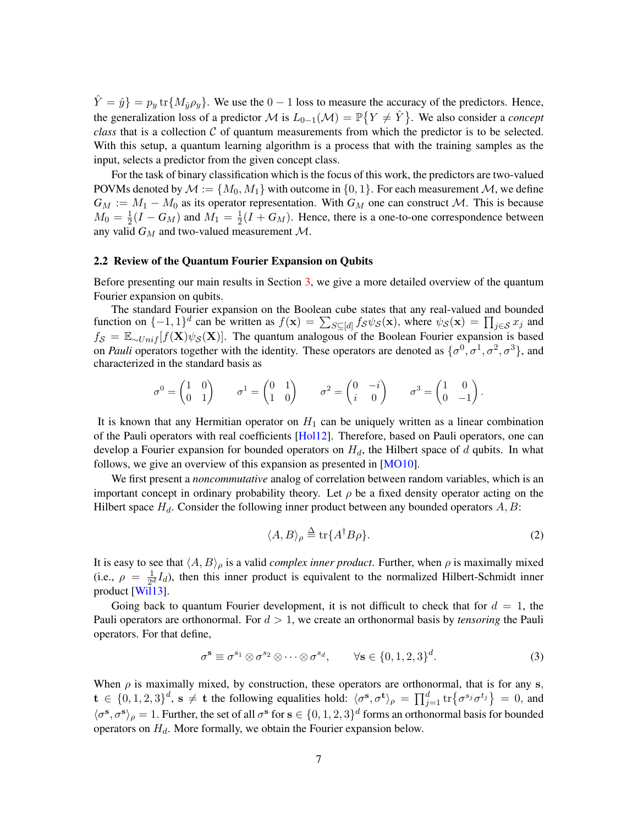$\hat{Y} = \hat{y}$ } =  $p_y$  tr $\{M_{\hat{y}}\rho_y\}$ . We use the 0 – 1 loss to measure the accuracy of the predictors. Hence, the generalization loss of a predictor  $\mathcal M$  is  $L_{0-1}(\mathcal M) = \mathbb P\{Y \neq \hat Y\}$ . We also consider a *concept class* that is a collection  $C$  of quantum measurements from which the predictor is to be selected. With this setup, a quantum learning algorithm is a process that with the training samples as the input, selects a predictor from the given concept class.

For the task of binary classification which is the focus of this work, the predictors are two-valued POVMs denoted by  $\mathcal{M} := \{M_0, M_1\}$  with outcome in  $\{0, 1\}$ . For each measurement  $\mathcal{M}$ , we define  $G_M := M_1 - M_0$  as its operator representation. With  $G_M$  one can construct M. This is because  $M_0 = \frac{1}{2}$  $\frac{1}{2}(I - G_M)$  and  $M_1 = \frac{1}{2}$  $\frac{1}{2}(I + G_M)$ . Hence, there is a one-to-one correspondence between any valid  $G_M$  and two-valued measurement  $M$ .

#### <span id="page-6-0"></span>2.2 Review of the Quantum Fourier Expansion on Qubits

Before presenting our main results in Section [3,](#page-7-2) we give a more detailed overview of the quantum Fourier expansion on qubits.

The standard Fourier expansion on the Boolean cube states that any real-valued and bounded function on  $\{-1,1\}^d$  can be written as  $f(\mathbf{x}) = \sum_{S \subseteq [d]} f_S \psi_S(\mathbf{x})$ , where  $\psi_S(\mathbf{x}) = \prod_{j \in S} x_j$  and  $f_{\mathcal{S}} = \mathbb{E}_{\sim Unif}[f(\mathbf{X})\psi_{\mathcal{S}}(\mathbf{X})].$  The quantum analogous of the Boolean Fourier expansion is based on *Pauli* operators together with the identity. These operators are denoted as  $\{\sigma^0, \sigma^1, \sigma^2, \sigma^3\}$ , and characterized in the standard basis as

$$
\sigma^0 = \begin{pmatrix} 1 & 0 \\ 0 & 1 \end{pmatrix} \qquad \sigma^1 = \begin{pmatrix} 0 & 1 \\ 1 & 0 \end{pmatrix} \qquad \sigma^2 = \begin{pmatrix} 0 & -i \\ i & 0 \end{pmatrix} \qquad \sigma^3 = \begin{pmatrix} 1 & 0 \\ 0 & -1 \end{pmatrix}.
$$

It is known that any Hermitian operator on  $H_1$  can be uniquely written as a linear combination of the Pauli operators with real coefficients [\[Hol12\]](#page-19-5). Therefore, based on Pauli operators, one can develop a Fourier expansion for bounded operators on  $H_d$ , the Hilbert space of d qubits. In what follows, we give an overview of this expansion as presented in [\[MO10\]](#page-20-8).

We first present a *noncommutative* analog of correlation between random variables, which is an important concept in ordinary probability theory. Let  $\rho$  be a fixed density operator acting on the Hilbert space  $H_d$ . Consider the following inner product between any bounded operators  $A, B$ :

<span id="page-6-1"></span>
$$
\langle A, B \rangle_{\rho} \stackrel{\Delta}{=} \text{tr}\{A^{\dagger}B\rho\}.
$$
 (2)

It is easy to see that  $\langle A, B \rangle_\rho$  is a valid *complex inner product*. Further, when  $\rho$  is maximally mixed (i.e.,  $\rho = \frac{1}{2a}$  $\frac{1}{2^d}I_d$ ), then this inner product is equivalent to the normalized Hilbert-Schmidt inner product [\[Wil13\]](#page-21-1).

Going back to quantum Fourier development, it is not difficult to check that for  $d = 1$ , the Pauli operators are orthonormal. For  $d > 1$ , we create an orthonormal basis by *tensoring* the Pauli operators. For that define,

<span id="page-6-2"></span>
$$
\sigma^{\mathbf{s}} \equiv \sigma^{s_1} \otimes \sigma^{s_2} \otimes \cdots \otimes \sigma^{s_d}, \qquad \forall \mathbf{s} \in \{0, 1, 2, 3\}^d. \tag{3}
$$

When  $\rho$  is maximally mixed, by construction, these operators are orthonormal, that is for any s,  $\mathbf{t} \in \{0, 1, 2, 3\}^d$ ,  $\mathbf{s} \neq \mathbf{t}$  the following equalities hold:  $\langle \sigma^{\mathbf{s}}, \sigma^{\mathbf{t}} \rangle_{\rho} = \prod_{j=1}^d \text{tr} \{ \sigma^{s_j} \sigma^{t_j} \} = 0$ , and  $\langle \sigma^s, \sigma^s \rangle_\rho = 1$ . Further, the set of all  $\sigma^s$  for  $s \in \{0, 1, 2, 3\}^d$  forms an orthonormal basis for bounded operators on  $H_d$ . More formally, we obtain the Fourier expansion below.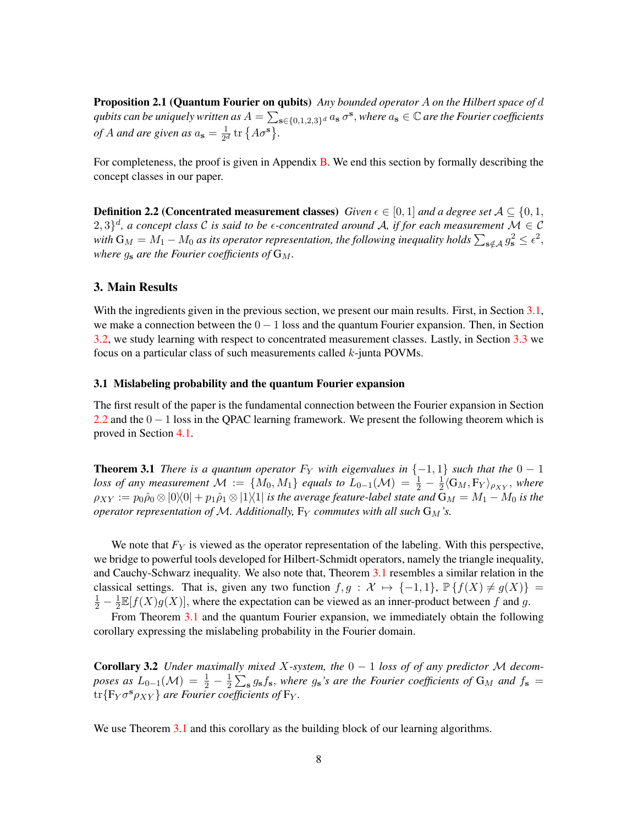Proposition 2.1 (Quantum Fourier on qubits) *Any bounded operator* A *on the Hilbert space of* d  $q$ ubits can be uniquely written as  $A=\sum_{\mathbf{s}\in\{0,1,2,3\}^d}a_{\mathbf{s}}$   $\sigma^{\mathbf{s}},$  where  $a_{\mathbf{s}}\in\mathbb{C}$  are the Fourier coefficients *of* A and are given as  $a_s = \frac{1}{2^d}$  $\frac{1}{2^d}$  tr  $\{A\sigma^{\mathbf{s}}\}.$ 

For completeness, the proof is given in Appendix  $\overline{B}$ . We end this section by formally describing the concept classes in our paper.

<span id="page-7-1"></span>**Definition 2.2 (Concentrated measurement classes)** *Given*  $\epsilon \in [0, 1]$  *and a degree set*  $A \subseteq \{0, 1, 1\}$  $(2,3)^d$ , a concept class C is said to be  $\epsilon$ -concentrated around A, if for each measurement  $\mathcal{M} \in \mathcal{C}$ with  $G_M=M_1-M_0$  as its operator representation, the following inequality holds  $\sum_{s\notin\mathcal{A}} g_s^2\leq \epsilon^2,$ *where*  $g_s$  *are the Fourier coefficients of*  $G_M$ *.* 

## <span id="page-7-2"></span>3. Main Results

With the ingredients given in the previous section, we present our main results. First, in Section [3.1,](#page-7-3) we make a connection between the  $0 - 1$  loss and the quantum Fourier expansion. Then, in Section [3.2,](#page-8-1) we study learning with respect to concentrated measurement classes. Lastly, in Section [3.3](#page-13-1) we focus on a particular class of such measurements called k-junta POVMs.

#### <span id="page-7-3"></span>3.1 Mislabeling probability and the quantum Fourier expansion

The first result of the paper is the fundamental connection between the Fourier expansion in Section [2.2](#page-6-0) and the  $0 - 1$  loss in the QPAC learning framework. We present the following theorem which is proved in Section [4.1.](#page-14-1)

<span id="page-7-0"></span>**Theorem 3.1** *There is a quantum operator*  $F_Y$  *with eigenvalues in*  $\{-1,1\}$  *such that the*  $0-1$ loss of any measurement  $\mathcal{M} := \{M_0, M_1\}$  equals to  $L_{0-1}(\mathcal{M}) = \frac{1}{2} - \frac{1}{2}$  $\frac{1}{2}\langle G_M, F_Y \rangle_{\rho_{XY}},$  where  $\rho_{XY} := p_0\hat{\rho}_0\otimes|0\rangle\langle0| + p_1\hat{\rho}_1\otimes|1\rangle\langle1|$  *is the average feature-label state and*  $\mathbf{G}_M = M_1 - M_0$  *is the operator representation of M. Additionally,*  $F_Y$  *commutes with all such*  $G_M$ 's.

We note that  $F_Y$  is viewed as the operator representation of the labeling. With this perspective, we bridge to powerful tools developed for Hilbert-Schmidt operators, namely the triangle inequality, and Cauchy-Schwarz inequality. We also note that, Theorem [3.1](#page-7-0) resembles a similar relation in the classical settings. That is, given any two function  $f, g : \mathcal{X} \mapsto \{-1, 1\}$ ,  $\mathbb{P} \{f(X) \neq g(X)\}$  =  $\frac{1}{2} - \frac{1}{2}$  $\frac{1}{2} \mathbb{E}[f(X)g(X)]$ , where the expectation can be viewed as an inner-product between f and g.

From Theorem [3.1](#page-7-0) and the quantum Fourier expansion, we immediately obtain the following corollary expressing the mislabeling probability in the Fourier domain.

<span id="page-7-4"></span>**Corollary 3.2** *Under maximally mixed X-system, the*  $0 - 1$  *loss of* of any predictor M decom*poses as*  $L_{0-1}(\mathcal{M}) = \frac{1}{2} - \frac{1}{2}$  $\frac{1}{2}\sum_{s} g_{s} f_{s}$ , where  $g_{s}$ 's are the Fourier coefficients of  $G_M$  and  $f_{s} =$  $\text{tr}\{\text{F}_Y\sigma^{\mathbf{s}}\rho_{XY}\}$  are Fourier coefficients of  $\text{F}_Y$ .

We use Theorem [3.1](#page-7-0) and this corollary as the building block of our learning algorithms.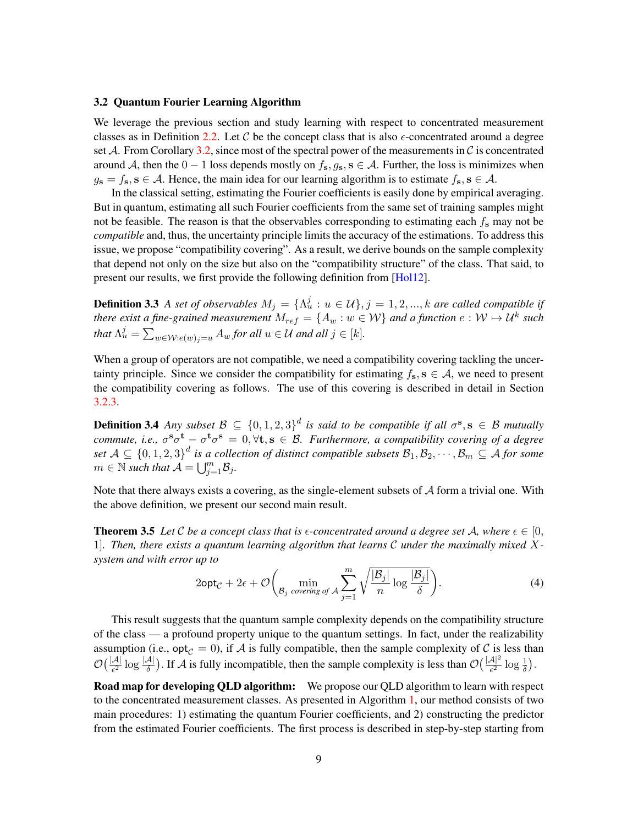#### <span id="page-8-1"></span>3.2 Quantum Fourier Learning Algorithm

We leverage the previous section and study learning with respect to concentrated measurement classes as in Definition [2.2.](#page-7-1) Let  $C$  be the concept class that is also  $\epsilon$ -concentrated around a degree set A. From Corollary [3.2,](#page-7-4) since most of the spectral power of the measurements in  $\mathcal C$  is concentrated around A, then the  $0 - 1$  loss depends mostly on  $f_s, g_s, s \in A$ . Further, the loss is minimizes when  $g_s = f_s$ ,  $s \in A$ . Hence, the main idea for our learning algorithm is to estimate  $f_s$ ,  $s \in A$ .

In the classical setting, estimating the Fourier coefficients is easily done by empirical averaging. But in quantum, estimating all such Fourier coefficients from the same set of training samples might not be feasible. The reason is that the observables corresponding to estimating each  $f_s$  may not be *compatible* and, thus, the uncertainty principle limits the accuracy of the estimations. To address this issue, we propose "compatibility covering". As a result, we derive bounds on the sample complexity that depend not only on the size but also on the "compatibility structure" of the class. That said, to present our results, we first provide the following definition from [\[Hol12\]](#page-19-5).

<span id="page-8-2"></span>**Definition 3.3** *A set of observables*  $M_j = \{\Lambda_u^j : u \in \mathcal{U}\}, j = 1, 2, ..., k$  are called compatible if *there exist a fine-grained measurement*  $M_{ref} = \{A_w : w \in \mathcal{W}\}$  and a function  $e : \mathcal{W} \mapsto \mathcal{U}^k$  such *that*  $\Lambda_u^j = \sum_{w \in \mathcal{W}: e(w)_j = u} A_w$  *for all*  $u \in \mathcal{U}$  *and all*  $j \in [k]$ *.* 

When a group of operators are not compatible, we need a compatibility covering tackling the uncertainty principle. Since we consider the compatibility for estimating  $f_s$ ,  $s \in A$ , we need to present the compatibility covering as follows. The use of this covering is described in detail in Section [3.2.3.](#page-11-0)

<span id="page-8-3"></span>**Definition 3.4** Any subset  $\mathcal{B} \subseteq \{0,1,2,3\}^d$  is said to be compatible if all  $\sigma^s$ ,  $s \in \mathcal{B}$  mutually *commute, i.e.,*  $\sigma^s \sigma^t - \sigma^t \sigma^s = 0$ ,  $\forall$ t,  $s \in \mathcal{B}$ . Furthermore, a compatibility covering of a degree set  $A\subseteq \{0,1,2,3\}^d$  is a collection of distinct compatible subsets  $\mathcal{B}_1,\mathcal{B}_2,\cdots,\mathcal{B}_m\subseteq A$  for some  $m \in \mathbb{N}$  such that  $\mathcal{A} = \bigcup_{j=1}^m \mathcal{B}_j$ .

Note that there always exists a covering, as the single-element subsets of  $A$  form a trivial one. With the above definition, we present our second main result.

<span id="page-8-0"></span>**Theorem 3.5** Let C be a concept class that is  $\epsilon$ -concentrated around a degree set A, where  $\epsilon \in [0, 1]$ 1]*. Then, there exists a quantum learning algorithm that learns* C *under the maximally mixed* X*system and with error up to*

$$
2\mathrm{opt}_{\mathcal{C}} + 2\epsilon + \mathcal{O}\bigg(\min_{\mathcal{B}_j \text{ covering of } \mathcal{A}} \sum_{j=1}^m \sqrt{\frac{|\mathcal{B}_j|}{n} \log \frac{|\mathcal{B}_j|}{\delta}}\bigg).
$$
 (4)

This result suggests that the quantum sample complexity depends on the compatibility structure of the class — a profound property unique to the quantum settings. In fact, under the realizability assumption (i.e.,  $opt_{\mathcal{C}} = 0$ ), if A is fully compatible, then the sample complexity of C is less than  $\mathcal{O}\left(\frac{|\mathcal{A}|}{\epsilon^2}\log\frac{|\mathcal{A}|}{\delta}\right)$ . If  $\mathcal{A}$  is fully incompatible, then the sample complexity is less than  $\mathcal{O}\left(\frac{|\mathcal{A}|^2}{\epsilon^2}\log\frac{1}{\delta}\right)$ .

Road map for developing QLD algorithm: We propose our QLD algorithm to learn with respect to the concentrated measurement classes. As presented in Algorithm [1,](#page-9-0) our method consists of two main procedures: 1) estimating the quantum Fourier coefficients, and 2) constructing the predictor from the estimated Fourier coefficients. The first process is described in step-by-step starting from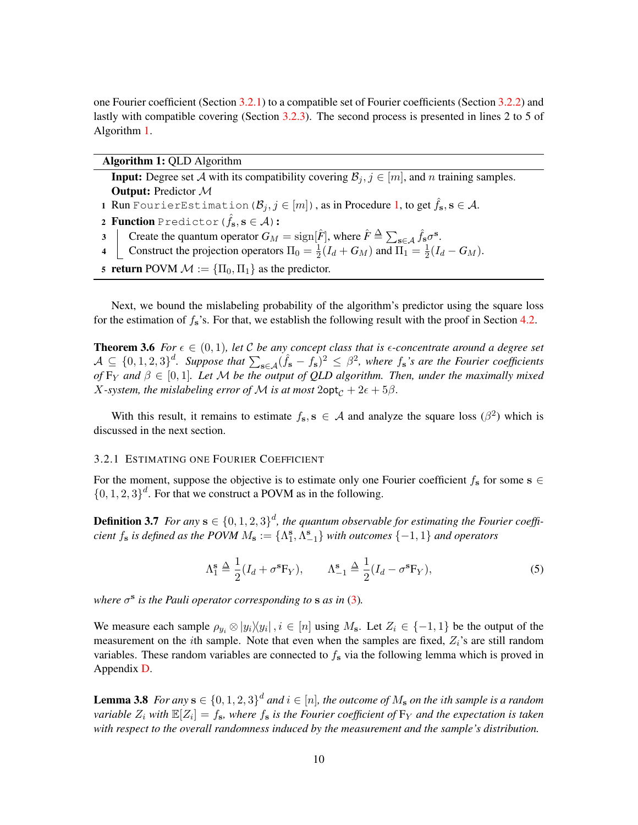one Fourier coefficient (Section [3.2.1\)](#page-9-1) to a compatible set of Fourier coefficients (Section [3.2.2\)](#page-10-0) and lastly with compatible covering (Section [3.2.3\)](#page-11-0). The second process is presented in lines 2 to 5 of Algorithm [1.](#page-9-0)

<span id="page-9-0"></span>

| Algorithm 1: QLD Algorithm                                                                                                                                                                                                                  |
|---------------------------------------------------------------------------------------------------------------------------------------------------------------------------------------------------------------------------------------------|
| <b>Input:</b> Degree set A with its compatibility covering $B_i, j \in [m]$ , and n training samples.                                                                                                                                       |
| <b>Output:</b> Predictor M                                                                                                                                                                                                                  |
| 1 Run Fourier Estimation $(\mathcal{B}_j, j \in [m])$ , as in Procedure 1, to get $\hat{f}_s$ , $s \in \mathcal{A}$ .                                                                                                                       |
| 2 Function Predictor $(\hat{f}_s, s \in \mathcal{A})$ :                                                                                                                                                                                     |
| 3 Create the quantum operator $G_M = \text{sign}[\hat{F}]$ , where $\hat{F} \triangleq \sum_{s \in A} \hat{f}_s \sigma^s$ .<br>4 Construct the projection operators $\Pi_0 = \frac{1}{2}(I_d + G_M)$ and $\Pi_1 = \frac{1}{2}(I_d - G_M)$ . |
|                                                                                                                                                                                                                                             |
| 5 return POVM $\mathcal{M} := {\Pi_0, \Pi_1}$ as the predictor.                                                                                                                                                                             |

Next, we bound the mislabeling probability of the algorithm's predictor using the square loss for the estimation of  $f_s$ 's. For that, we establish the following result with the proof in Section [4.2.](#page-15-0)

**Theorem 3.6** *For*  $\epsilon \in (0,1)$ *, let* C *be any concept class that is*  $\epsilon$ *-concentrate around a degree set*  $A \subseteq \{0, 1, 2, 3\}^d$ . Suppose that  $\sum_{s \in A} (\hat{f}_s - f_s)^2 \leq \beta^2$ , where  $f_s$ 's are the Fourier coefficients *of*  $F_Y$  and  $\beta \in [0,1]$ . Let M be the output of QLD algorithm. Then, under the maximally mixed *X*-system, the mislabeling error of M is at most  $2$ opt<sub> $C$ </sub> +  $2\epsilon$  +  $5\beta$ .

With this result, it remains to estimate  $f_s$ ,  $s \in A$  and analyze the square loss  $(\beta^2)$  which is discussed in the next section.

#### <span id="page-9-1"></span>3.2.1 ESTIMATING ONE FOURIER COEFFICIENT

For the moment, suppose the objective is to estimate only one Fourier coefficient  $f_s$  for some  $s \in$  $\{0, 1, 2, 3\}$ <sup>d</sup>. For that we construct a POVM as in the following.

**Definition 3.7** For any  $\mathbf{s} \in \{0, 1, 2, 3\}^d$ , the quantum observable for estimating the Fourier coeffi*cient*  $f_s$  *is defined as the POVM*  $M_s := \{\Lambda_1^s, \Lambda_{-1}^s\}$  *with outcomes*  $\{-1, 1\}$  *and operators* 

<span id="page-9-3"></span><span id="page-9-2"></span>
$$
\Lambda_1^s \triangleq \frac{1}{2}(I_d + \sigma^s \mathbf{F}_Y), \qquad \Lambda_{-1}^s \triangleq \frac{1}{2}(I_d - \sigma^s \mathbf{F}_Y), \tag{5}
$$

where  $\sigma^s$  is the Pauli operator corresponding to **s** as in [\(3\)](#page-6-1).

We measure each sample  $\rho_{y_i} \otimes |y_i\rangle\langle y_i|, i \in [n]$  using  $M_s$ . Let  $Z_i \in \{-1, 1\}$  be the output of the measurement on the *i*th sample. Note that even when the samples are fixed,  $Z_i$ 's are still random variables. These random variables are connected to  $f_s$  via the following lemma which is proved in Appendix [D.](#page-23-0)

<span id="page-9-4"></span>**Lemma 3.8** For any  $s \in \{0, 1, 2, 3\}^d$  and  $i \in [n]$ , the outcome of  $M_s$  on the ith sample is a random *variable*  $Z_i$  *with*  $\mathbb{E}[Z_i] = f_s$ *, where*  $f_s$  *is the Fourier coefficient of*  $F_Y$  *and the expectation is taken with respect to the overall randomness induced by the measurement and the sample's distribution.*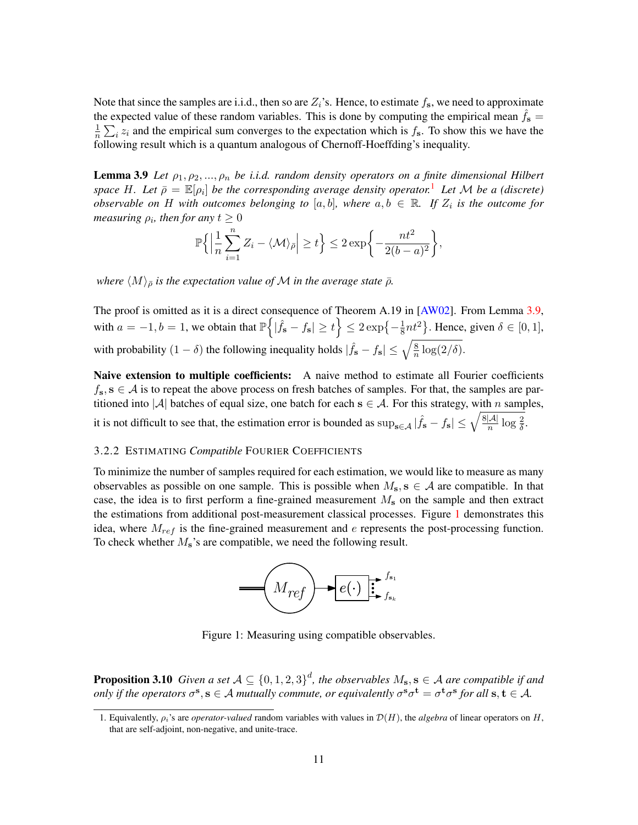Note that since the samples are i.i.d., then so are  $Z_i$ 's. Hence, to estimate  $f_s$ , we need to approximate the expected value of these random variables. This is done by computing the empirical mean  $f_s =$ 1  $\frac{1}{n}\sum_i z_i$  and the empirical sum converges to the expectation which is  $f_s$ . To show this we have the following result which is a quantum analogous of Chernoff-Hoeffding's inequality.

<span id="page-10-2"></span>**Lemma 3.9** Let  $\rho_1, \rho_2, ..., \rho_n$  be i.i.d. random density operators on a finite dimensional Hilbert *space* H. Let  $\bar{\rho} = \mathbb{E}[\rho_i]$  be the corresponding average density operator.<sup>[1](#page-10-1)</sup> Let M be a (discrete) *observable on* H with outcomes belonging to [a, b], where  $a, b \in \mathbb{R}$ . If  $Z_i$  is the outcome for *measuring*  $\rho_i$ , then for any  $t \geq 0$ 

$$
\mathbb{P}\bigg\{\Big|\frac{1}{n}\sum_{i=1}^n Z_i - \langle\mathcal{M}\rangle_{\bar{\rho}}\Big| \ge t\bigg\} \le 2\exp\bigg\{-\frac{nt^2}{2(b-a)^2}\bigg\},\
$$

*where*  $\langle M \rangle_{\bar{\rho}}$  *is the expectation value of* M *in the average state*  $\bar{\rho}$ *.* 

The proof is omitted as it is a direct consequence of Theorem A.19 in [\[AW02\]](#page-18-9). From Lemma [3.9,](#page-10-2) with  $a = -1, b = 1$ , we obtain that  $\mathbb{P}\left\{ |\hat{f}_s - f_s| \ge t \right\} \le 2 \exp\left\{-\frac{1}{8}, t \le 1 \right\}$  $\frac{1}{8}nt^2$ . Hence, given  $\delta \in [0,1]$ , with probability  $(1 - \delta)$  the following inequality holds  $|\hat{f}_s - f_s| \leq \sqrt{\frac{8}{n}}$  $\frac{8}{n}\log(2/\delta).$ 

Naive extension to multiple coefficients: A naive method to estimate all Fourier coefficients  $f_s$ ,  $s \in A$  is to repeat the above process on fresh batches of samples. For that, the samples are partitioned into |A| batches of equal size, one batch for each  $s \in A$ . For this strategy, with n samples,

it is not difficult to see that, the estimation error is bounded as  $\sup_{s \in A} |\hat{f}_s - f_s| \leq \sqrt{\frac{8|\mathcal{A}|}{n}}$  $\frac{|\mathcal{A}|}{n} \log \frac{2}{\delta}.$ 

#### <span id="page-10-0"></span>3.2.2 ESTIMATING *Compatible* FOURIER COEFFICIENTS

To minimize the number of samples required for each estimation, we would like to measure as many observables as possible on one sample. This is possible when  $M_s$ ,  $s \in A$  are compatible. In that case, the idea is to first perform a fine-grained measurement  $M_s$  on the sample and then extract the estimations from additional post-measurement classical processes. Figure [1](#page-10-3) demonstrates this idea, where  $M_{ref}$  is the fine-grained measurement and  $e$  represents the post-processing function. To check whether  $M_s$ 's are compatible, we need the following result.

<span id="page-10-3"></span>

Figure 1: Measuring using compatible observables.

<span id="page-10-4"></span>**Proposition 3.10** Given a set  $A \subseteq \{0,1,2,3\}^d$ , the observables  $M_s$ ,  $s \in A$  are compatible if and *only if the operators*  $\sigma^s$ ,  $s \in A$  *mutually commute, or equivalently*  $\sigma^s \sigma^t = \sigma^t \sigma^s$  for all  $s, t \in A$ .

<span id="page-10-1"></span><sup>1.</sup> Equivalently,  $\rho_i$ 's are *operator-valued* random variables with values in  $\mathcal{D}(H)$ , the *algebra* of linear operators on H, that are self-adjoint, non-negative, and unite-trace.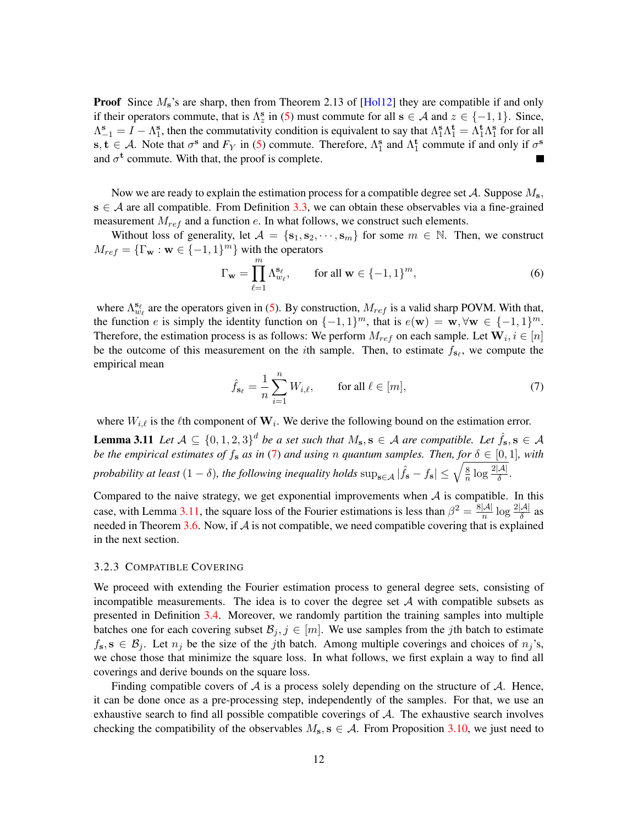**Proof** Since  $M_s$ 's are sharp, then from Theorem 2.13 of [\[Hol12\]](#page-19-5) they are compatible if and only if their operators commute, that is  $\Lambda_z^s$  in [\(5\)](#page-9-2) must commute for all  $s \in A$  and  $z \in \{-1, 1\}$ . Since,  $\Lambda_{-1}^s = I - \Lambda_1^s$ , then the commutativity condition is equivalent to say that  $\Lambda_1^s \Lambda_1^t = \Lambda_1^t \Lambda_1^s$  for for all s,  $t \in A$ . Note that  $\sigma^s$  and  $F_Y$  in [\(5\)](#page-9-2) commute. Therefore,  $\Lambda_1^s$  and  $\Lambda_1^t$  commute if and only if  $\sigma^s$ and  $\sigma^t$  commute. With that, the proof is complete.

Now we are ready to explain the estimation process for a compatible degree set  $\mathcal{A}$ . Suppose  $M_s$ ,  $s \in A$  are all compatible. From Definition [3.3,](#page-8-2) we can obtain these observables via a fine-grained measurement  $M_{ref}$  and a function  $e$ . In what follows, we construct such elements.

Without loss of generality, let  $A = \{s_1, s_2, \dots, s_m\}$  for some  $m \in \mathbb{N}$ . Then, we construct  $M_{ref} = {\{\Gamma_{\mathbf{w}} : \mathbf{w} \in \{-1,1\}^m\}}$  with the operators

<span id="page-11-3"></span>
$$
\Gamma_{\mathbf{w}} = \prod_{\ell=1}^{m} \Lambda_{w_{\ell}}^{\mathbf{s}_{\ell}}, \qquad \text{for all } \mathbf{w} \in \{-1, 1\}^{m}, \tag{6}
$$

where  $\Lambda_{w_\ell}^{s_\ell}$  are the operators given in [\(5\)](#page-9-2). By construction,  $M_{ref}$  is a valid sharp POVM. With that, the function e is simply the identity function on  $\{-1,1\}^m$ , that is  $e(\mathbf{w}) = \mathbf{w}, \forall \mathbf{w} \in \{-1,1\}^m$ . Therefore, the estimation process is as follows: We perform  $M_{ref}$  on each sample. Let  $\mathbf{W}_i, i \in [n]$ be the outcome of this measurement on the *i*th sample. Then, to estimate  $f_{s_\ell}$ , we compute the empirical mean

<span id="page-11-2"></span><span id="page-11-1"></span>
$$
\hat{f}_{\mathbf{s}_{\ell}} = \frac{1}{n} \sum_{i=1}^{n} W_{i,\ell}, \qquad \text{for all } \ell \in [m], \tag{7}
$$

where  $W_{i,\ell}$  is the  $\ell$ th component of  $\mathbf{W}_i$ . We derive the following bound on the estimation error.

**Lemma 3.11** Let  $A \subseteq \{0,1,2,3\}^d$  be a set such that  $M_s$ ,  $s \in A$  are compatible. Let  $\hat{f}_s$ ,  $s \in A$ *be the empirical estimates of*  $f_s$  *as in* [\(7\)](#page-11-1) *and using n quantum samples. Then, for*  $\delta \in [0,1]$ *, with probability at least*  $(1 - \delta)$ , *the following inequality holds*  $\sup_{s \in A} |\hat{f}_s - f_s| \leq \sqrt{\frac{8}{n}}$  $\frac{8}{n} \log \frac{2|\mathcal{A}|}{\delta}$ .

Compared to the naive strategy, we get exponential improvements when  $A$  is compatible. In this case, with Lemma [3.11,](#page-11-2) the square loss of the Fourier estimations is less than  $\beta^2 = \frac{8|\mathcal{A}|}{n}$  $\frac{|\mathcal{A}|}{n} \log \frac{2|\mathcal{A}|}{\delta}$  as needed in Theorem [3.6.](#page-9-3) Now, if  $A$  is not compatible, we need compatible covering that is explained in the next section.

#### <span id="page-11-0"></span>3.2.3 COMPATIBLE COVERING

We proceed with extending the Fourier estimation process to general degree sets, consisting of incompatible measurements. The idea is to cover the degree set  $A$  with compatible subsets as presented in Definition [3.4.](#page-8-3) Moreover, we randomly partition the training samples into multiple batches one for each covering subset  $\mathcal{B}_j, j \in [m]$ . We use samples from the jth batch to estimate  $f_s$ ,  $s \in B_i$ . Let  $n_i$  be the size of the jth batch. Among multiple coverings and choices of  $n_i$ 's, we chose those that minimize the square loss. In what follows, we first explain a way to find all coverings and derive bounds on the square loss.

Finding compatible covers of  $A$  is a process solely depending on the structure of  $A$ . Hence, it can be done once as a pre-processing step, independently of the samples. For that, we use an exhaustive search to find all possible compatible coverings of  $A$ . The exhaustive search involves checking the compatibility of the observables  $M_s$ ,  $s \in A$ . From Proposition [3.10,](#page-10-4) we just need to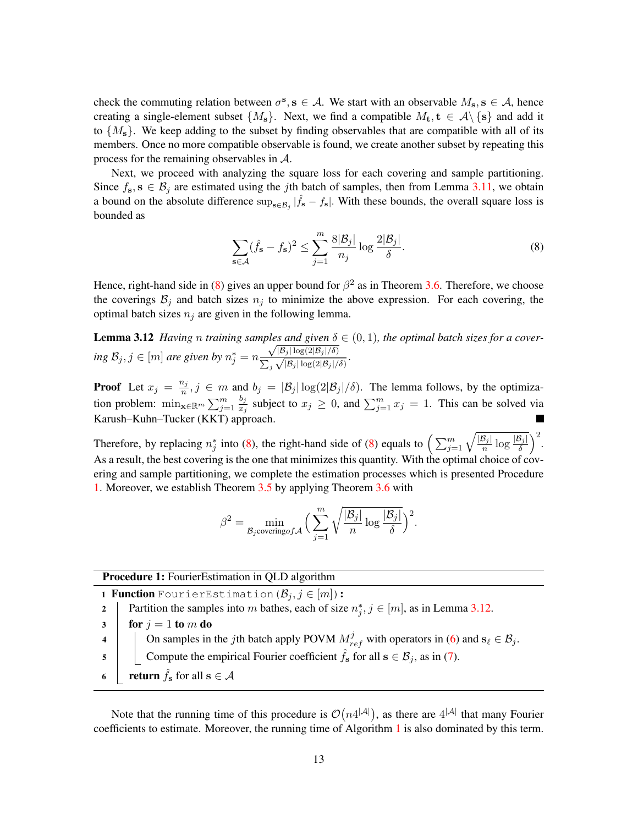check the commuting relation between  $\sigma^s$ ,  $s \in A$ . We start with an observable  $M_s$ ,  $s \in A$ , hence creating a single-element subset  $\{M_s\}$ . Next, we find a compatible  $M_t$ ,  $t \in \mathcal{A}\backslash\{s\}$  and add it to  $\{M_s\}$ . We keep adding to the subset by finding observables that are compatible with all of its members. Once no more compatible observable is found, we create another subset by repeating this process for the remaining observables in A.

Next, we proceed with analyzing the square loss for each covering and sample partitioning. Since  $f_s$ ,  $s \in \mathcal{B}_j$  are estimated using the *j*th batch of samples, then from Lemma [3.11,](#page-11-2) we obtain a bound on the absolute difference  $\sup_{s \in B_j} |\hat{f}_s - f_s|$ . With these bounds, the overall square loss is bounded as

<span id="page-12-2"></span><span id="page-12-1"></span>
$$
\sum_{\mathbf{s}\in\mathcal{A}} (\hat{f}_{\mathbf{s}} - f_{\mathbf{s}})^2 \le \sum_{j=1}^m \frac{8|\mathcal{B}_j|}{n_j} \log \frac{2|\mathcal{B}_j|}{\delta}.
$$
 (8)

Hence, right-hand side in [\(8\)](#page-12-1) gives an upper bound for  $\beta^2$  as in Theorem [3.6.](#page-9-3) Therefore, we choose the coverings  $B_j$  and batch sizes  $n_j$  to minimize the above expression. For each covering, the optimal batch sizes  $n_j$  are given in the following lemma.

**Lemma 3.12** *Having n training samples and given*  $\delta \in (0,1)$ *, the optimal batch sizes for a cover-* $\lim_{j \to \infty} \mathcal{B}_j, j \in [m]$  are given by  $n_j^* = n \frac{\sqrt{|\mathcal{B}_j| \log(2|\mathcal{B}_j|/\delta)}}{\sum_{j \in \mathcal{J}} |\mathcal{B}_j| \log(2|\mathcal{B}_j|/\delta)}$  $\sum_j$  $\frac{|\mathcal{D}_j| \log(2|\mathcal{B}_j|/\delta)}{\sqrt{|\mathcal{B}_j| \log(2|\mathcal{B}_j|/\delta)}}$ .

**Proof** Let  $x_j = \frac{n_j}{n}$  $\frac{u_j}{n}, j \in m$  and  $b_j = |\mathcal{B}_j| \log(2|\mathcal{B}_j|/\delta)$ . The lemma follows, by the optimization problem:  $\min_{\mathbf{x} \in \mathbb{R}^m} \sum_{j=1}^m$  $b_j$  $\frac{b_j}{x_j}$  subject to  $x_j \ge 0$ , and  $\sum_{j=1}^m x_j = 1$ . This can be solved via Karush–Kuhn–Tucker (KKT) approach.

Therefore, by replacing  $n_j^*$  into [\(8\)](#page-12-1), the right-hand side of (8) equals to  $\left(\sum_{j=1}^m \sqrt{\frac{|\mathcal{B}_j|}{n}} \log \frac{|\mathcal{B}_j|}{\delta}\right)^2$ . As a result, the best covering is the one that minimizes this quantity. With the optimal choice of covering and sample partitioning, we complete the estimation processes which is presented Procedure [1.](#page-12-0) Moreover, we establish Theorem [3.5](#page-8-0) by applying Theorem [3.6](#page-9-3) with

$$
\beta^2 = \min_{\mathcal{B}_j \text{covering} of \mathcal{A}} \Big( \sum_{j=1}^m \sqrt{\frac{|\mathcal{B}_j|}{n} \log \frac{|\mathcal{B}_j|}{\delta}} \Big)^2.
$$

Procedure 1: FourierEstimation in QLD algorithm

<span id="page-12-0"></span>1 **Function** FourierEstimation  $(\mathcal{B}_i, j \in [m])$ : 2 | Partition the samples into m bathes, each of size  $n_j^*$ ,  $j \in [m]$ , as in Lemma [3.12.](#page-12-2)  $3 \mid$  for  $j = 1$  to m do 4  $\Box$  On samples in the jth batch apply POVM  $M_{ref}^j$  with operators in [\(6\)](#page-11-3) and  $s_\ell \in \mathcal{B}_j$ . 5 Compute the empirical Fourier coefficient  $\hat{f}_s$  for all  $s \in \mathcal{B}_j$ , as in [\(7\)](#page-11-1). 6 **return**  $\hat{f}_s$  for all  $s \in \mathcal{A}$ 

Note that the running time of this procedure is  $\mathcal{O}(n4^{|\mathcal{A}|})$ , as there are  $4^{|\mathcal{A}|}$  that many Fourier coefficients to estimate. Moreover, the running time of Algorithm [1](#page-9-0) is also dominated by this term.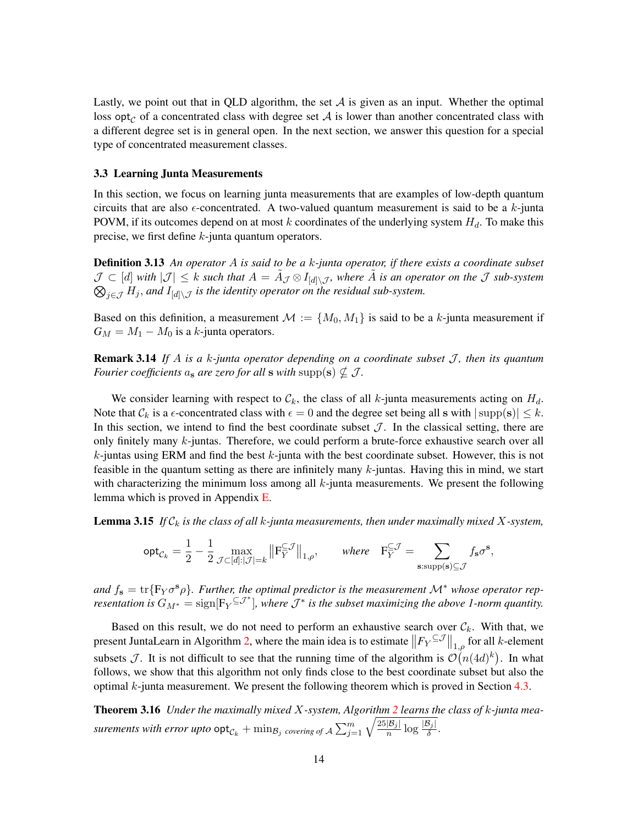Lastly, we point out that in QLD algorithm, the set  $A$  is given as an input. Whether the optimal loss opt<sub>c</sub> of a concentrated class with degree set A is lower than another concentrated class with a different degree set is in general open. In the next section, we answer this question for a special type of concentrated measurement classes.

#### <span id="page-13-1"></span>3.3 Learning Junta Measurements

In this section, we focus on learning junta measurements that are examples of low-depth quantum circuits that are also  $\epsilon$ -concentrated. A two-valued quantum measurement is said to be a k-junta POVM, if its outcomes depend on at most k coordinates of the underlying system  $H<sub>d</sub>$ . To make this precise, we first define  $k$ -junta quantum operators.

Definition 3.13 *An operator* A *is said to be a* k*-junta operator, if there exists a coordinate subset*  $\mathcal{J} \subset [d]$  with  $|\mathcal{J}| \leq k$  such that  $A = \tilde{A}_{\mathcal{J}} \otimes I_{[d]\setminus\mathcal{J}}$ , where  $\tilde{A}$  is an operator on the  $\mathcal{J}$  sub-system  $\bigotimes_{j\in\mathcal{J}}H_j$ , and  $I_{[d]\setminus\mathcal{J}}$  is the identity operator on the residual sub-system.

Based on this definition, a measurement  $\mathcal{M} := \{M_0, M_1\}$  is said to be a k-junta measurement if  $G_M = M_1 - M_0$  is a k-junta operators.

**Remark 3.14** If A is a k-junta operator depending on a coordinate subset  $\mathcal{J}$ , then its quantum *Fourier coefficients*  $a_s$  *are zero for all* **s** *with* supp(**s**)  $\nsubseteq$  *J*.

We consider learning with respect to  $\mathcal{C}_k$ , the class of all k-junta measurements acting on  $H_d$ . Note that  $\mathcal{C}_k$  is a  $\epsilon$ -concentrated class with  $\epsilon = 0$  and the degree set being all s with  $|\text{supp}(s)| \leq k$ . In this section, we intend to find the best coordinate subset  $\mathcal{J}$ . In the classical setting, there are only finitely many  $k$ -juntas. Therefore, we could perform a brute-force exhaustive search over all  $k$ -juntas using ERM and find the best  $k$ -junta with the best coordinate subset. However, this is not feasible in the quantum setting as there are infinitely many  $k$ -juntas. Having this in mind, we start with characterizing the minimum loss among all  $k$ -junta measurements. We present the following lemma which is proved in Appendix [E.](#page-24-0)

Lemma 3.15 *If* C<sup>k</sup> *is the class of all* k*-junta measurements, then under maximally mixed* X*-system,*

<span id="page-13-2"></span><span id="page-13-0"></span>
$$
\mathsf{opt}_{\mathcal{C}_k} = \frac{1}{2} - \frac{1}{2} \max_{\mathcal{J} \subset [d]: |\mathcal{J}| = k} \big\| \mathbf{F}_Y^{\subseteq \mathcal{J}} \big\|_{1,\rho}, \qquad \text{where} \quad \mathbf{F}_Y^{\subseteq \mathcal{J}} = \sum_{\mathbf{s}: \text{supp}(\mathbf{s}) \subseteq \mathcal{J}} f_{\mathbf{s}} \sigma^{\mathbf{s}},
$$

and  $f_s = \text{tr}\lbrace F_Y \sigma^s \rho \rbrace$ . Further, the optimal predictor is the measurement  $\mathcal{M}^*$  whose operator rep*resentation is*  $G_{M^*} = \text{sign}[F_Y^{\subseteq J^*}]$ , where  $J^*$  is the subset maximizing the above 1-norm quantity.

Based on this result, we do not need to perform an exhaustive search over  $\mathcal{C}_k$ . With that, we present JuntaLearn in Algorithm [2,](#page-14-0) where the main idea is to estimate  $||F_Y^{\subseteq \mathcal{J}}||_{1,\rho}$  for all k-element subsets  $\mathcal{J}$ . It is not difficult to see that the running time of the algorithm is  $\mathcal{O}(n(4d)^k)$ . In what follows, we show that this algorithm not only finds close to the best coordinate subset but also the optimal k-junta measurement. We present the following theorem which is proved in Section [4.3.](#page-17-0)

Theorem 3.16 *Under the maximally mixed* X*-system, Algorithm [2](#page-14-0) learns the class of* k*-junta measurements with error upto*  $\mathsf{opt}_{\mathcal{C}_k} + \min_{\mathcal{B}_j}$  *covering of*  $\mathcal{A} \sum_{j=1}^m \sqrt{\frac{25|\mathcal{B}_j|}{n} \log \frac{|\mathcal{B}_j|}{\delta}}$ .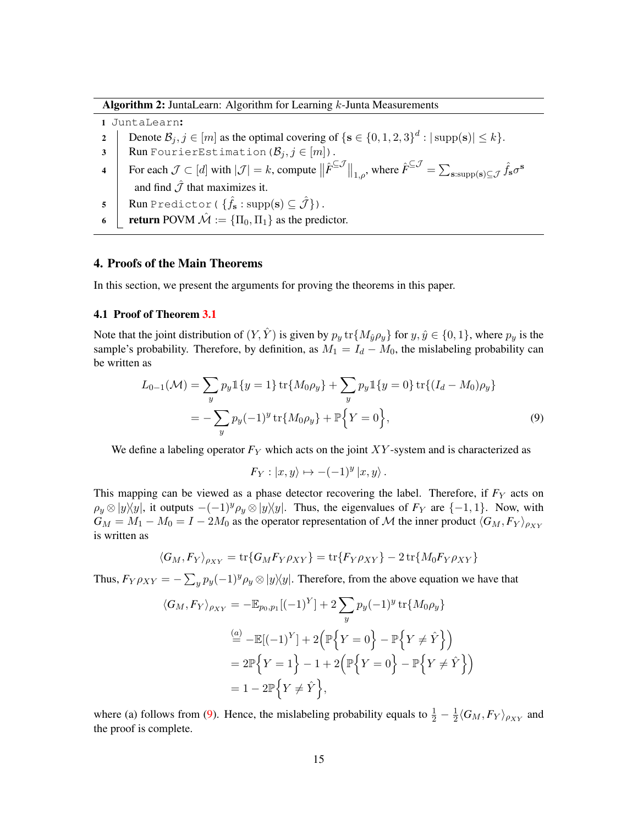Algorithm 2: JuntaLearn: Algorithm for Learning k-Junta Measurements

<span id="page-14-0"></span>1 JuntaLearn:

- 2 Denote  $\mathcal{B}_j, j \in [m]$  as the optimal covering of  $\{s \in \{0, 1, 2, 3\}^d : |\text{supp}(s)| \leq k\}.$
- 3 Run FourierEstimation  $(\mathcal{B}_j, j \in [m])$ .
- 4 For each  $\mathcal{J} \subset [d]$  with  $|\mathcal{J}| = k$ , compute  $\|\hat{F}^{\subseteq \mathcal{J}}\|_{1,\rho}$ , where  $\hat{F}^{\subseteq \mathcal{J}} = \sum_{\mathbf{s}:\text{supp}(\mathbf{s}) \subseteq \mathcal{J}} \hat{f}_{\mathbf{s}} \sigma^{\mathbf{s}}$ and find  $\hat{J}$  that maximizes it.
- 5  $\parallel$  Run Predictor (  $\{ \hat{f}_s : \text{supp}(\mathbf{s}) \subseteq \hat{\mathcal{J}} \}$ ).
- 6 **return** POVM  $\hat{\mathcal{M}} := {\Pi_0, \Pi_1}$  as the predictor.

#### 4. Proofs of the Main Theorems

In this section, we present the arguments for proving the theorems in this paper.

#### <span id="page-14-1"></span>4.1 Proof of Theorem [3.1](#page-7-0)

Note that the joint distribution of  $(Y, \hat{Y})$  is given by  $p_y$  tr $\{M_{\hat{y}}\rho_y\}$  for  $y, \hat{y} \in \{0, 1\}$ , where  $p_y$  is the sample's probability. Therefore, by definition, as  $M_1 = I_d - M_0$ , the mislabeling probability can be written as

$$
L_{0-1}(\mathcal{M}) = \sum_{y} p_y \mathbb{1}\{y=1\} \operatorname{tr}\{M_0 \rho_y\} + \sum_{y} p_y \mathbb{1}\{y=0\} \operatorname{tr}\{(I_d - M_0) \rho_y\}
$$
  
= 
$$
-\sum_{y} p_y (-1)^y \operatorname{tr}\{M_0 \rho_y\} + \mathbb{P}\{Y=0\},
$$
 (9)

We define a labeling operator  $F_Y$  which acts on the joint  $XY$ -system and is characterized as

$$
F_Y: |x, y\rangle \mapsto -(-1)^y |x, y\rangle.
$$

This mapping can be viewed as a phase detector recovering the label. Therefore, if  $F<sub>Y</sub>$  acts on  $\rho_y \otimes |y\rangle\langle y|$ , it outputs  $-(-1)^y \rho_y \otimes |y\rangle\langle y|$ . Thus, the eigenvalues of  $F_Y$  are  $\{-1, 1\}$ . Now, with  $G_M = M_1 - M_0 = I - 2M_0$  as the operator representation of M the inner product  $\langle G_M, F_Y \rangle_{\rho_{XY}}$ is written as

$$
\langle G_M, F_Y \rangle_{\rho_{XY}} = \text{tr}\{G_M F_Y \rho_{XY}\} = \text{tr}\{F_Y \rho_{XY}\} - 2 \text{tr}\{M_0 F_Y \rho_{XY}\}
$$

Thus,  $F_Y \rho_{XY} = -\sum_y p_y(-1)^y \rho_y \otimes |y\rangle\langle y|$ . Therefore, from the above equation we have that

$$
\langle G_M, F_Y \rangle_{\rho_{XY}} = -\mathbb{E}_{p_0, p_1} [(-1)^Y] + 2 \sum_y p_y (-1)^y \operatorname{tr} \{ M_0 \rho_y \}
$$
  
\n
$$
\stackrel{(a)}{=} -\mathbb{E}[(-1)^Y] + 2 \left( \mathbb{P} \{ Y = 0 \} - \mathbb{P} \{ Y \neq \hat{Y} \} \right)
$$
  
\n
$$
= 2\mathbb{P} \{ Y = 1 \} - 1 + 2 \left( \mathbb{P} \{ Y = 0 \} - \mathbb{P} \{ Y \neq \hat{Y} \} \right)
$$
  
\n
$$
= 1 - 2\mathbb{P} \{ Y \neq \hat{Y} \},
$$

where (a) follows from [\(9\)](#page-14-1). Hence, the mislabeling probability equals to  $\frac{1}{2} - \frac{1}{2}$  $\frac{1}{2}\langle G_M, F_Y \rangle_{\rho_{XY}}$  and the proof is complete.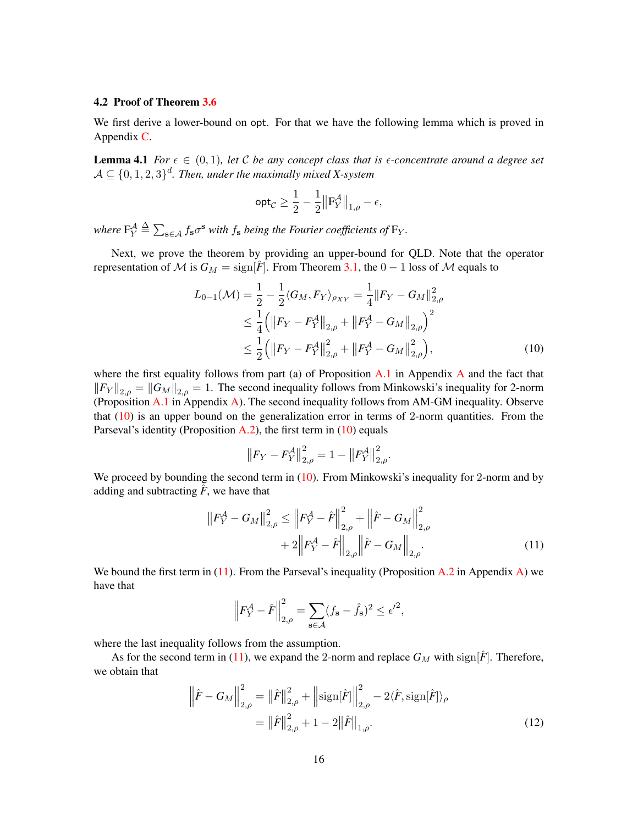## <span id="page-15-0"></span>4.2 Proof of Theorem [3.6](#page-9-3)

We first derive a lower-bound on opt. For that we have the following lemma which is proved in Appendix [C.](#page-22-1)

<span id="page-15-4"></span>**Lemma 4.1** *For*  $\epsilon \in (0,1)$ *, let* C *be any concept class that is*  $\epsilon$ *-concentrate around a degree set*  $\mathcal{A}\subseteq \{0,1,2,3\}^d$ . Then, under the maximally mixed X-system

$$
\mathsf{opt}_{\mathcal{C}} \geq \frac{1}{2} - \frac{1}{2} \big\| \mathbf{F}_Y^{\mathcal{A}} \big\|_{1,\rho} - \epsilon,
$$

where  $F_Y^{\mathcal{A}} \triangleq \sum_{\mathbf{s} \in \mathcal{A}} f_\mathbf{s} \sigma^\mathbf{s}$  with  $f_\mathbf{s}$  being the Fourier coefficients of  $F_Y$ .

Next, we prove the theorem by providing an upper-bound for QLD. Note that the operator representation of M is  $G_M = \text{sign}[\hat{F}]$ . From Theorem [3.1,](#page-7-0) the  $0 - 1$  loss of M equals to

$$
L_{0-1}(\mathcal{M}) = \frac{1}{2} - \frac{1}{2} \langle G_M, F_Y \rangle_{\rho_{XY}} = \frac{1}{4} ||F_Y - G_M||_{2,\rho}^2
$$
  
\n
$$
\leq \frac{1}{4} \left( ||F_Y - F_Y^{\mathcal{A}}||_{2,\rho} + ||F_Y^{\mathcal{A}} - G_M||_{2,\rho} \right)^2
$$
  
\n
$$
\leq \frac{1}{2} \left( ||F_Y - F_Y^{\mathcal{A}}||_{2,\rho}^2 + ||F_Y^{\mathcal{A}} - G_M||_{2,\rho}^2 \right),
$$
\n(10)

where the first equality follows from part (a) of Proposition  $A.1$  in [A](#page-21-3)ppendix  $A$  and the fact that  $||F_Y||_{2,\rho} = ||G_M||_{2,\rho} = 1$ . The second inequality follows from Minkowski's inequality for 2-norm (Proposition  $A.1$  in Appendix  $A$ ). The second inequality follows from AM-GM inequality. Observe that  $(10)$  is an upper bound on the generalization error in terms of 2-norm quantities. From the Parseval's identity (Proposition  $A.2$ ), the first term in [\(10\)](#page-15-1) equals

<span id="page-15-2"></span><span id="page-15-1"></span>
$$
\left\| F_Y - F_Y^{\mathcal{A}} \right\|_{2,\rho}^2 = 1 - \left\| F_Y^{\mathcal{A}} \right\|_{2,\rho}^2.
$$

We proceed by bounding the second term in [\(10\)](#page-15-1). From Minkowski's inequality for 2-norm and by adding and subtracting  $\hat{F}$ , we have that

$$
\|F_{Y}^{\mathcal{A}} - G_{M}\|_{2,\rho}^{2} \le \|F_{Y}^{\mathcal{A}} - \hat{F}\|_{2,\rho}^{2} + \|\hat{F} - G_{M}\|_{2,\rho}^{2} + 2\|F_{Y}^{\mathcal{A}} - \hat{F}\|_{2,\rho}\|\hat{F} - G_{M}\|_{2,\rho}.
$$
\n(11)

We bound the first term in  $(11)$ . From the Parseval's inequality (Proposition [A.2](#page-22-2) in Appendix [A\)](#page-21-3) we have that

<span id="page-15-3"></span>
$$
\left\| F_Y^{\mathcal{A}} - \hat{F} \right\|_{2,\rho}^2 = \sum_{\mathbf{s} \in \mathcal{A}} (f_{\mathbf{s}} - \hat{f}_{\mathbf{s}})^2 \le \epsilon'^2,
$$

where the last inequality follows from the assumption.

As for the second term in [\(11\)](#page-15-2), we expand the 2-norm and replace  $G_M$  with sign[ $\hat{F}$ ]. Therefore, we obtain that

$$
\left\|\hat{F} - G_M\right\|_{2,\rho}^2 = \left\|\hat{F}\right\|_{2,\rho}^2 + \left\|\text{sign}[\hat{F}]\right\|_{2,\rho}^2 - 2\langle\hat{F}, \text{sign}[\hat{F}]\rangle_{\rho}
$$

$$
= \left\|\hat{F}\right\|_{2,\rho}^2 + 1 - 2\left\|\hat{F}\right\|_{1,\rho}.
$$
(12)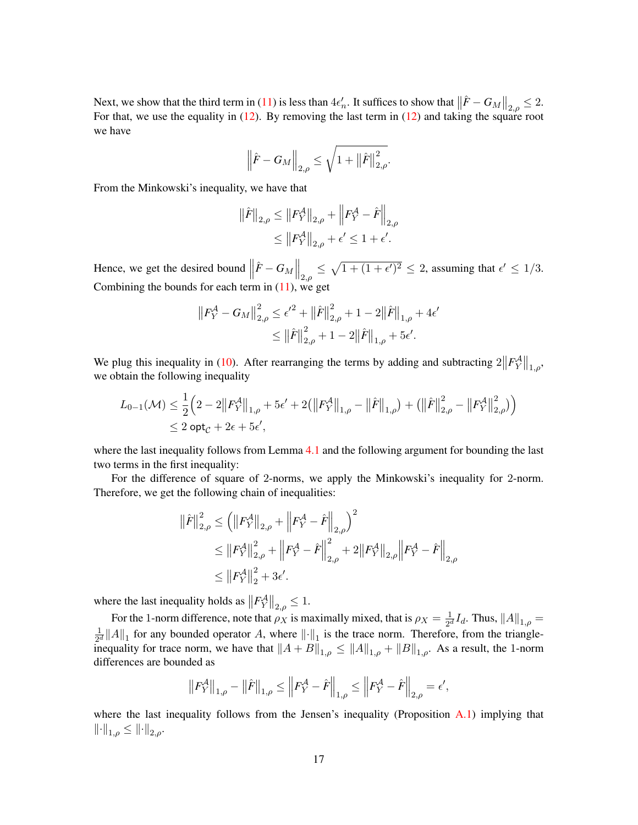Next, we show that the third term in [\(11\)](#page-15-2) is less than  $4\epsilon_n'$ . It suffices to show that  $\left\|\hat{F} - G_M\right\|_{2,\rho} \leq 2$ . For that, we use the equality in  $(12)$ . By removing the last term in  $(12)$  and taking the square root we have

$$
\left\|\hat{F} - G_M\right\|_{2,\rho} \leq \sqrt{1 + \left\|\hat{F}\right\|_{2,\rho}^2}
$$

.

From the Minkowski's inequality, we have that

$$
\begin{aligned} \left\|\hat{F}\right\|_{2,\rho} &\leq \left\|F_{Y}^{\mathcal{A}}\right\|_{2,\rho}+\left\|F_{Y}^{\mathcal{A}}-\hat{F}\right\|_{2,\rho} \\ &\leq \left\|F_{Y}^{\mathcal{A}}\right\|_{2,\rho}+\epsilon' \leq 1+\epsilon'. \end{aligned}
$$

Hence, we get the desired bound  $\left\|\hat{F} - G_M\right\|_{2,\rho} \leq \sqrt{1 + (1 + \epsilon')^2} \leq 2$ , assuming that  $\epsilon' \leq 1/3$ . Combining the bounds for each term in  $(11)$ , we get

$$
||F_Y^{\mathcal{A}} - G_M||_{2,\rho}^2 \le \epsilon'^2 + ||\hat{F}||_{2,\rho}^2 + 1 - 2||\hat{F}||_{1,\rho} + 4\epsilon' \le ||\hat{F}||_{2,\rho}^2 + 1 - 2||\hat{F}||_{1,\rho} + 5\epsilon'.
$$

We plug this inequality in [\(10\)](#page-15-1). After rearranging the terms by adding and subtracting  $2||F_Y^A||_{1,\rho}$ , we obtain the following inequality

$$
L_{0-1}(\mathcal{M}) \leq \frac{1}{2} \Big( 2 - 2 \big\| F_Y^{\mathcal{A}} \big\|_{1,\rho} + 5\epsilon' + 2 \big( \big\| F_Y^{\mathcal{A}} \big\|_{1,\rho} - \big\| \hat{F} \big\|_{1,\rho} \big) + \big( \big\| \hat{F} \big\|_{2,\rho}^2 - \big\| F_Y^{\mathcal{A}} \big\|_{2,\rho}^2 \big) \Big) \leq 2 \text{ opt}_{\mathcal{C}} + 2\epsilon + 5\epsilon',
$$

where the last inequality follows from Lemma [4.1](#page-15-4) and the following argument for bounding the last two terms in the first inequality:

For the difference of square of 2-norms, we apply the Minkowski's inequality for 2-norm. Therefore, we get the following chain of inequalities:

$$
\begin{aligned} \left\|\hat{F}\right\|^{2}_{2,\rho} &\leq \left(\left\|F_{Y}^{\mathcal{A}}\right\|_{2,\rho}+\left\|F_{Y}^{\mathcal{A}}-\hat{F}\right\|_{2,\rho}\right)^{2} \\ &\leq \left\|F_{Y}^{\mathcal{A}}\right\|^{2}_{2,\rho}+\left\|F_{Y}^{\mathcal{A}}-\hat{F}\right\|^{2}_{2,\rho}+2\left\|F_{Y}^{\mathcal{A}}\right\|_{2,\rho}\left\|F_{Y}^{\mathcal{A}}-\hat{F}\right\|_{2,\rho} \\ &\leq \left\|F_{Y}^{\mathcal{A}}\right\|^{2}_{2}+3\epsilon'. \end{aligned}
$$

where the last inequality holds as  $||F_Y^{\mathcal{A}}||_{2,\rho} \leq 1$ .

For the 1-norm difference, note that  $\rho_X$  is maximally mixed, that is  $\rho_X = \frac{1}{2^d}$  $\frac{1}{2^d}I_d$ . Thus,  $||A||_{1,\rho} =$ 1  $\frac{1}{2^d} ||A||_1$  for any bounded operator A, where  $||\cdot||_1$  is the trace norm. Therefore, from the triangleinequality for trace norm, we have that  $||A + B||_{1,\rho} \le ||A||_{1,\rho} + ||B||_{1,\rho}$ . As a result, the 1-norm differences are bounded as

$$
\left\|F_{Y}^{\mathcal{A}}\right\|_{1,\rho}-\left\|\hat{F}\right\|_{1,\rho}\leq\left\|F_{Y}^{\mathcal{A}}-\hat{F}\right\|_{1,\rho}\leq\left\|F_{Y}^{\mathcal{A}}-\hat{F}\right\|_{2,\rho}=\epsilon',
$$

where the last inequality follows from the Jensen's inequality (Proposition  $A.1$ ) implying that  $\left\|\cdot\right\|_{1,\rho}\leq \left\|\cdot\right\|_{2,\rho}.$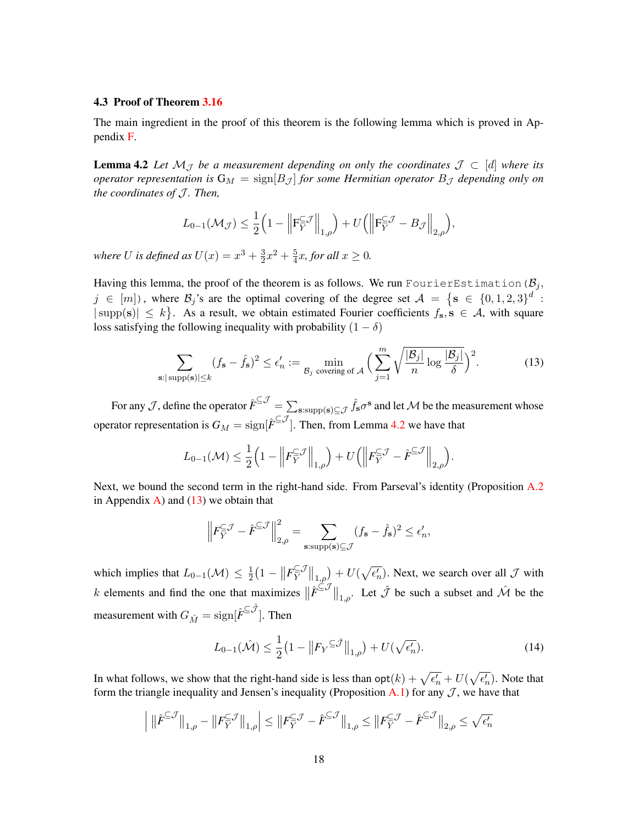#### <span id="page-17-0"></span>4.3 Proof of Theorem [3.16](#page-13-0)

The main ingredient in the proof of this theorem is the following lemma which is proved in Appendix [F.](#page-24-1)

<span id="page-17-1"></span>**Lemma 4.2** Let  $\mathcal{M}_{\mathcal{J}}$  be a measurement depending on only the coordinates  $\mathcal{J} \subset [d]$  where its *operator representation is*  $G_M = \text{sign}[B_{\mathcal{J}}]$  *for some Hermitian operator*  $B_{\mathcal{J}}$  *depending only on the coordinates of* J *. Then,*

$$
L_{0-1}(\mathcal{M}_{\mathcal{J}}) \leq \frac{1}{2} \Big( 1 - \Big\| \mathbf{F}_{Y}^{\subseteq \mathcal{J}} \Big\|_{1,\rho} \Big) + U \Big( \Big\| \mathbf{F}_{Y}^{\subseteq \mathcal{J}} - B_{\mathcal{J}} \Big\|_{2,\rho} \Big),
$$

where U is defined as  $U(x) = x^3 + \frac{3}{2}$  $\frac{3}{2}x^2 + \frac{5}{4}$  $\frac{5}{4}x$ *, for all*  $x \geq 0$ *.* 

Having this lemma, the proof of the theorem is as follows. We run FourierEstimation ( $B_i$ ,  $j \in [m]$ ), where  $\mathcal{B}_j$ 's are the optimal covering of the degree set  $\mathcal{A} = \{\mathbf{s} \in \{0, 1, 2, 3\}^d :$  $|\text{supp}(s)| \leq k$ . As a result, we obtain estimated Fourier coefficients  $f_s$ ,  $s \in A$ , with square loss satisfying the following inequality with probability  $(1 - \delta)$ 

$$
\sum_{\mathbf{s}:|\text{supp}(\mathbf{s})| \le k} (f_{\mathbf{s}} - \hat{f}_{\mathbf{s}})^2 \le \epsilon'_n := \min_{\mathcal{B}_j \text{ covering of } \mathcal{A}} \Big( \sum_{j=1}^m \sqrt{\frac{|\mathcal{B}_j|}{n} \log \frac{|\mathcal{B}_j|}{\delta}} \Big)^2. \tag{13}
$$

For any  $J$ , define the operator  $\hat F^{\subseteq J}=\sum_{\mathbf{s}:\text{supp}(\mathbf{s})\subseteq J}\hat f_\mathbf{s}\sigma^\mathbf{s}$  and let  $\cal M$  be the measurement whose operator representation is  $G_M = \text{sign}[\hat{F}^{\subseteq J}]$ . Then, from Lemma [4.2](#page-17-1) we have that

<span id="page-17-2"></span>
$$
L_{0-1}(\mathcal{M}) \leq \frac{1}{2} \Big( 1 - \Big\| F_{\overline{Y}}^{\subseteq} \mathcal{J} \Big\|_{1,\rho} \Big) + U \Big( \Big\| F_{\overline{Y}}^{\subseteq} \mathcal{J} - \hat{F}^{\subseteq} \mathcal{J} \Big\|_{2,\rho} \Big).
$$

Next, we bound the second term in the right-hand side. From Parseval's identity (Proposition [A.2](#page-22-2) in Appendix [A\)](#page-21-3) and  $(13)$  we obtain that

$$
\left\| F_Y^{\subseteq \mathcal{J}} - \hat{F}^{\subseteq \mathcal{J}} \right\|_{2,\rho}^2 = \sum_{\mathbf{s}: \text{supp}(\mathbf{s}) \subseteq \mathcal{J}} (f_\mathbf{s} - \hat{f}_\mathbf{s})^2 \le \epsilon'_n,
$$

which implies that  $L_{0-1}(\mathcal{M}) \leq \frac{1}{2}$  $\frac{1}{2}(1 - ||F_Y^{\subseteq J})$  $\mathbb{E}^{\mathcal{J}}_{Y}\big\|_{1,\rho}\big\} + U(\sqrt{\epsilon_n'})$ . Next, we search over all  $\mathcal{J}$  with k elements and find the one that maximizes  $\|\hat{F}^{\leq \mathcal{J}}\|_{1,\rho}$ . Let  $\hat{\mathcal{J}}$  be such a subset and  $\hat{\mathcal{M}}$  be the measurement with  $G_{\hat{M}} = \text{sign}[\hat{\textbf{F}}^{\subseteq \hat{\mathcal{J}}}]$ . Then

<span id="page-17-3"></span>
$$
L_{0-1}(\hat{\mathcal{M}}) \le \frac{1}{2} \left( 1 - \left\| F_Y \right| \le \hat{\mathcal{J}} \right\|_{1,\rho} + U(\sqrt{\epsilon_n'}). \tag{14}
$$

In what follows, we show that the right-hand side is less than  $opt(k) + \sqrt{\epsilon_n'} + U(\sqrt{\epsilon_n'})$ . Note that form the triangle inequality and Jensen's inequality (Proposition [A.1\)](#page-21-2) for any  $J$ , we have that

$$
\left|\ \|\hat{\boldsymbol{F}}^{\subseteq \mathcal{J}}\|_{1,\rho}-\|{\boldsymbol{F}}_{{\boldsymbol{Y}}}^{\subseteq \mathcal{J}}\|_{1,\rho}\right|\leq\left\|{\boldsymbol{F}}_{{\boldsymbol{Y}}}^{\subseteq \mathcal{J}}-\hat{\boldsymbol{F}}^{\subseteq \mathcal{J}}\right\|_{1,\rho}\leq\left\|{\boldsymbol{F}}_{{\boldsymbol{Y}}}^{\subseteq \mathcal{J}}-\hat{\boldsymbol{F}}^{\subseteq \mathcal{J}}\right\|_{2,\rho}\leq\sqrt{\epsilon_n'}
$$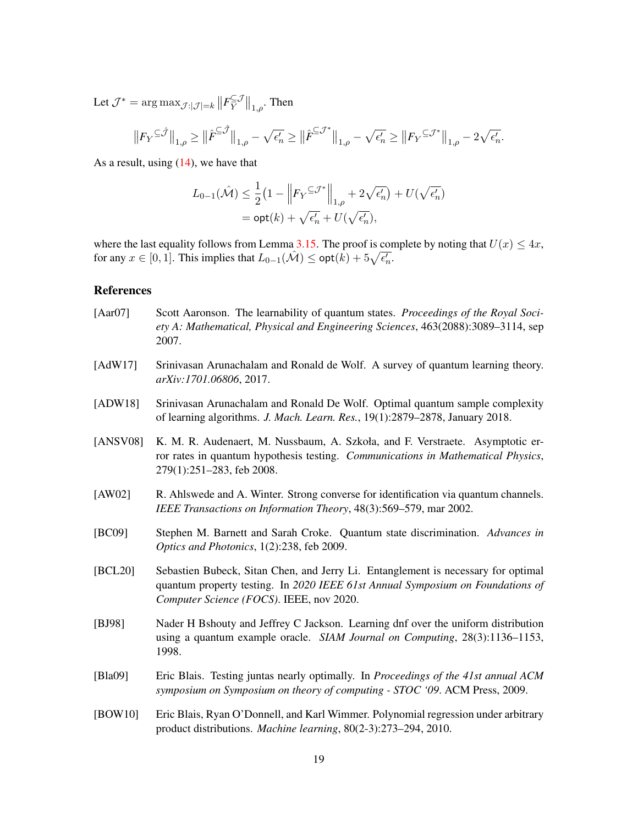Let  $\mathcal{J}^* = \argmax_{\mathcal{J}:|\mathcal{J}|=k} \left\| F_Y^{\subseteq \mathcal{J}} \right\|$  $\left\Vert \frac{C}{Y} \right\Vert_{1,\rho}$ . Then

$$
\big\|F_Y^{\,\subseteq\hat{\mathcal{J}}}\big\|_{1,\rho}\geq \big\|\hat F^{\subseteq\hat{\mathcal{J}}}\big\|_{1,\rho}-\sqrt{\epsilon_n'}\geq \big\|\hat F^{\subseteq\mathcal{J}^*}\big\|_{1,\rho}-\sqrt{\epsilon_n'}\geq \big\|F_Y^{\,\subseteq\mathcal{J}^*}\big\|_{1,\rho}-2\sqrt{\epsilon_n'}.
$$

As a result, using  $(14)$ , we have that

$$
L_{0-1}(\hat{\mathcal{M}}) \leq \frac{1}{2} \left( 1 - \left\| F_Y^{\subseteq \mathcal{J}^*} \right\|_{1,\rho} + 2\sqrt{\epsilon_n'} \right) + U(\sqrt{\epsilon_n'})
$$
  
= opt(k) +  $\sqrt{\epsilon_n'}$  + U( $\sqrt{\epsilon_n'}$ ),

where the last equality follows from Lemma [3.15.](#page-13-2) The proof is complete by noting that  $U(x) \leq 4x$ , for any  $x \in [0,1]$ . This implies that  $L_{0-1}(\hat{\mathcal{M}}) \leq \mathsf{opt}(k) + 5\sqrt{\epsilon_n'}$ .

#### References

- <span id="page-18-5"></span>[Aar07] Scott Aaronson. The learnability of quantum states. *Proceedings of the Royal Society A: Mathematical, Physical and Engineering Sciences*, 463(2088):3089–3114, sep 2007.
- <span id="page-18-7"></span>[AdW17] Srinivasan Arunachalam and Ronald de Wolf. A survey of quantum learning theory. *arXiv:1701.06806*, 2017.
- <span id="page-18-8"></span>[ADW18] Srinivasan Arunachalam and Ronald De Wolf. Optimal quantum sample complexity of learning algorithms. *J. Mach. Learn. Res.*, 19(1):2879–2878, January 2018.
- <span id="page-18-4"></span>[ANSV08] K. M. R. Audenaert, M. Nussbaum, A. Szkoła, and F. Verstraete. Asymptotic error rates in quantum hypothesis testing. *Communications in Mathematical Physics*, 279(1):251–283, feb 2008.
- <span id="page-18-9"></span>[AW02] R. Ahlswede and A. Winter. Strong converse for identification via quantum channels. *IEEE Transactions on Information Theory*, 48(3):569–579, mar 2002.
- <span id="page-18-3"></span>[BC09] Stephen M. Barnett and Sarah Croke. Quantum state discrimination. *Advances in Optics and Photonics*, 1(2):238, feb 2009.
- <span id="page-18-2"></span>[BCL20] Sebastien Bubeck, Sitan Chen, and Jerry Li. Entanglement is necessary for optimal quantum property testing. In *2020 IEEE 61st Annual Symposium on Foundations of Computer Science (FOCS)*. IEEE, nov 2020.
- <span id="page-18-6"></span>[BJ98] Nader H Bshouty and Jeffrey C Jackson. Learning dnf over the uniform distribution using a quantum example oracle. *SIAM Journal on Computing*, 28(3):1136–1153, 1998.
- <span id="page-18-1"></span>[Bla09] Eric Blais. Testing juntas nearly optimally. In *Proceedings of the 41st annual ACM symposium on Symposium on theory of computing - STOC '09*. ACM Press, 2009.
- <span id="page-18-0"></span>[BOW10] Eric Blais, Ryan O'Donnell, and Karl Wimmer. Polynomial regression under arbitrary product distributions. *Machine learning*, 80(2-3):273–294, 2010.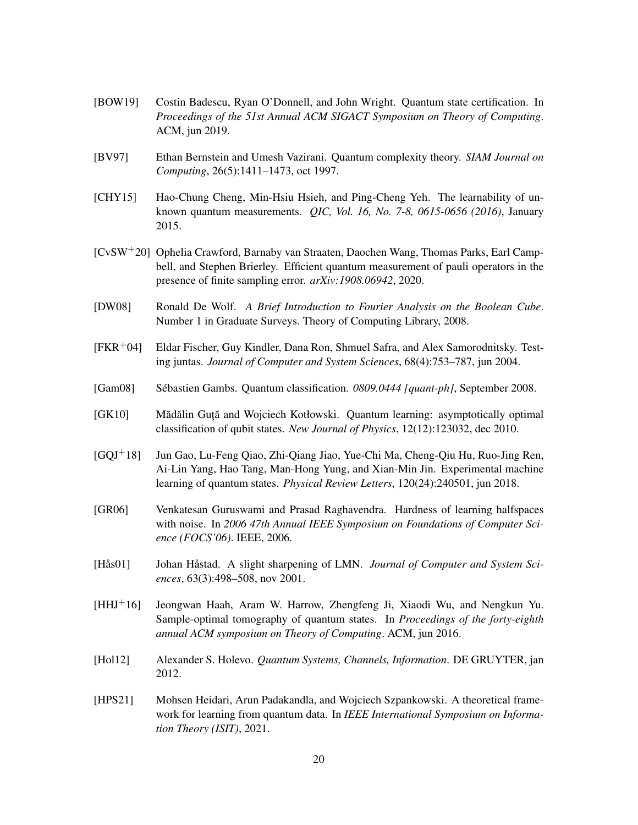- <span id="page-19-8"></span>[BOW19] Costin Badescu, Ryan O'Donnell, and John Wright. Quantum state certification. In *Proceedings of the 51st Annual ACM SIGACT Symposium on Theory of Computing*. ACM, jun 2019.
- <span id="page-19-12"></span>[BV97] Ethan Bernstein and Umesh Vazirani. Quantum complexity theory. *SIAM Journal on Computing*, 26(5):1411–1473, oct 1997.
- <span id="page-19-11"></span>[CHY15] Hao-Chung Cheng, Min-Hsiu Hsieh, and Ping-Cheng Yeh. The learnability of unknown quantum measurements. *QIC, Vol. 16, No. 7-8, 0615-0656 (2016)*, January 2015.
- <span id="page-19-13"></span>[CvSW+20] Ophelia Crawford, Barnaby van Straaten, Daochen Wang, Thomas Parks, Earl Campbell, and Stephen Brierley. Efficient quantum measurement of pauli operators in the presence of finite sampling error. *arXiv:1908.06942*, 2020.
- <span id="page-19-4"></span>[DW08] Ronald De Wolf. *A Brief Introduction to Fourier Analysis on the Boolean Cube*. Number 1 in Graduate Surveys. Theory of Computing Library, 2008.
- <span id="page-19-6"></span>[FKR+04] Eldar Fischer, Guy Kindler, Dana Ron, Shmuel Safra, and Alex Samorodnitsky. Testing juntas. *Journal of Computer and System Sciences*, 68(4):753–787, jun 2004.
- <span id="page-19-9"></span>[Gam08] Sebastien Gambs. Quantum classification. ´ *0809.0444 [quant-ph]*, September 2008.
- <span id="page-19-10"></span>[GK10] Mădălin Gută and Wojciech Kotłowski. Quantum learning: asymptotically optimal classification of qubit states. *New Journal of Physics*, 12(12):123032, dec 2010.
- <span id="page-19-0"></span>[GQJ+18] Jun Gao, Lu-Feng Qiao, Zhi-Qiang Jiao, Yue-Chi Ma, Cheng-Qiu Hu, Ruo-Jing Ren, Ai-Lin Yang, Hao Tang, Man-Hong Yung, and Xian-Min Jin. Experimental machine learning of quantum states. *Physical Review Letters*, 120(24):240501, jun 2018.
- <span id="page-19-3"></span>[GR06] Venkatesan Guruswami and Prasad Raghavendra. Hardness of learning halfspaces with noise. In *2006 47th Annual IEEE Symposium on Foundations of Computer Science (FOCS'06)*. IEEE, 2006.
- <span id="page-19-7"></span>[Hås01] Johan Håstad. A slight sharpening of LMN. *Journal of Computer and System Sciences*, 63(3):498–508, nov 2001.
- <span id="page-19-2"></span>[HHJ+16] Jeongwan Haah, Aram W. Harrow, Zhengfeng Ji, Xiaodi Wu, and Nengkun Yu. Sample-optimal tomography of quantum states. In *Proceedings of the forty-eighth annual ACM symposium on Theory of Computing*. ACM, jun 2016.
- <span id="page-19-5"></span>[Hol12] Alexander S. Holevo. *Quantum Systems, Channels, Information*. DE GRUYTER, jan 2012.
- <span id="page-19-1"></span>[HPS21] Mohsen Heidari, Arun Padakandla, and Wojciech Szpankowski. A theoretical framework for learning from quantum data. In *IEEE International Symposium on Information Theory (ISIT)*, 2021.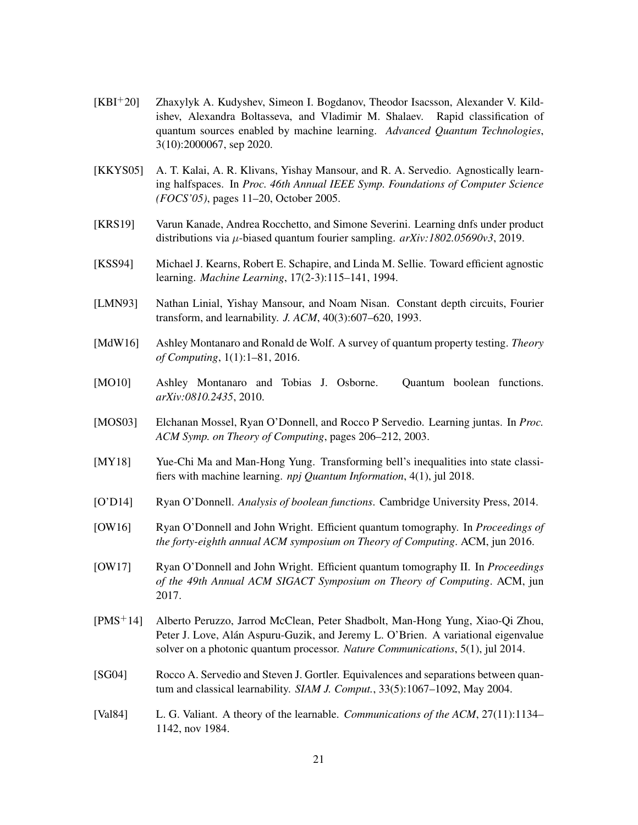- <span id="page-20-1"></span>[KBI+20] Zhaxylyk A. Kudyshev, Simeon I. Bogdanov, Theodor Isacsson, Alexander V. Kildishev, Alexandra Boltasseva, and Vladimir M. Shalaev. Rapid classification of quantum sources enabled by machine learning. *Advanced Quantum Technologies*, 3(10):2000067, sep 2020.
- <span id="page-20-6"></span>[KKYS05] A. T. Kalai, A. R. Klivans, Yishay Mansour, and R. A. Servedio. Agnostically learning halfspaces. In *Proc. 46th Annual IEEE Symp. Foundations of Computer Science (FOCS'05)*, pages 11–20, October 2005.
- <span id="page-20-12"></span>[KRS19] Varun Kanade, Andrea Rocchetto, and Simone Severini. Learning dnfs under product distributions via µ-biased quantum fourier sampling. *arXiv:1802.05690v3*, 2019.
- <span id="page-20-2"></span>[KSS94] Michael J. Kearns, Robert E. Schapire, and Linda M. Sellie. Toward efficient agnostic learning. *Machine Learning*, 17(2-3):115–141, 1994.
- <span id="page-20-5"></span>[LMN93] Nathan Linial, Yishay Mansour, and Noam Nisan. Constant depth circuits, Fourier transform, and learnability. *J. ACM*, 40(3):607–620, 1993.
- <span id="page-20-11"></span>[MdW16] Ashley Montanaro and Ronald de Wolf. A survey of quantum property testing. *Theory of Computing*, 1(1):1–81, 2016.
- <span id="page-20-8"></span>[MO10] Ashley Montanaro and Tobias J. Osborne. Quantum boolean functions. *arXiv:0810.2435*, 2010.
- <span id="page-20-4"></span>[MOS03] Elchanan Mossel, Ryan O'Donnell, and Rocco P Servedio. Learning juntas. In *Proc. ACM Symp. on Theory of Computing*, pages 206–212, 2003.
- <span id="page-20-0"></span>[MY18] Yue-Chi Ma and Man-Hong Yung. Transforming bell's inequalities into state classifiers with machine learning. *npj Quantum Information*, 4(1), jul 2018.
- <span id="page-20-7"></span>[O'D14] Ryan O'Donnell. *Analysis of boolean functions*. Cambridge University Press, 2014.
- <span id="page-20-9"></span>[OW16] Ryan O'Donnell and John Wright. Efficient quantum tomography. In *Proceedings of the forty-eighth annual ACM symposium on Theory of Computing*. ACM, jun 2016.
- <span id="page-20-10"></span>[OW17] Ryan O'Donnell and John Wright. Efficient quantum tomography II. In *Proceedings of the 49th Annual ACM SIGACT Symposium on Theory of Computing*. ACM, jun 2017.
- <span id="page-20-14"></span>[PMS+14] Alberto Peruzzo, Jarrod McClean, Peter Shadbolt, Man-Hong Yung, Xiao-Qi Zhou, Peter J. Love, Alán Aspuru-Guzik, and Jeremy L. O'Brien. A variational eigenvalue solver on a photonic quantum processor. *Nature Communications*, 5(1), jul 2014.
- <span id="page-20-13"></span>[SG04] Rocco A. Servedio and Steven J. Gortler. Equivalences and separations between quantum and classical learnability. *SIAM J. Comput.*, 33(5):1067–1092, May 2004.
- <span id="page-20-3"></span>[Val84] L. G. Valiant. A theory of the learnable. *Communications of the ACM*, 27(11):1134– 1142, nov 1984.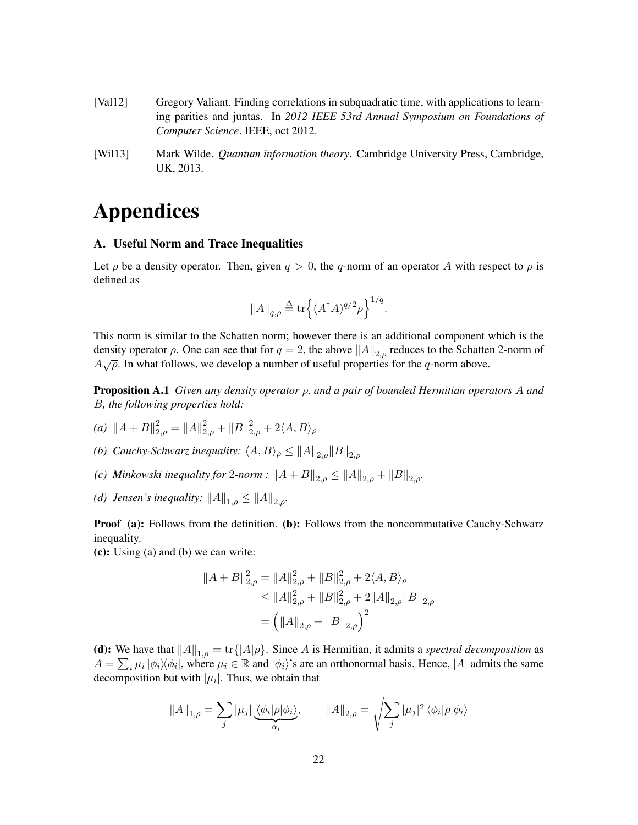- <span id="page-21-0"></span>[Val12] Gregory Valiant. Finding correlations in subquadratic time, with applications to learning parities and juntas. In *2012 IEEE 53rd Annual Symposium on Foundations of Computer Science*. IEEE, oct 2012.
- <span id="page-21-1"></span>[Wil13] Mark Wilde. *Quantum information theory*. Cambridge University Press, Cambridge, UK, 2013.

# Appendices

#### <span id="page-21-3"></span>A. Useful Norm and Trace Inequalities

Let  $\rho$  be a density operator. Then, given  $q > 0$ , the q-norm of an operator A with respect to  $\rho$  is defined as

$$
||A||_{q,\rho} \stackrel{\Delta}{=} \text{tr}\Big\{ (A^{\dagger}A)^{q/2} \rho \Big\}^{1/q}.
$$

This norm is similar to the Schatten norm; however there is an additional component which is the density operator  $\rho$ . One can see that for  $q = 2$ , the above  $||A||_{2,\rho}$  reduces to the Schatten 2-norm of  $A\sqrt{\rho}$ . In what follows, we develop a number of useful properties for the q-norm above.

<span id="page-21-2"></span>Proposition A.1 *Given any density operator* ρ*, and a pair of bounded Hermitian operators* A *and* B*, the following properties hold:*

- *(a)*  $||A + B||_{2,\rho}^2 = ||A||_{2,\rho}^2 + ||B||_{2,\rho}^2 + 2\langle A, B \rangle_\rho$
- *(b) Cauchy-Schwarz inequality:*  $\langle A, B \rangle_{\rho} \le ||A||_{2,\rho}||B||_{2,\rho}$
- *(c) Minkowski inequality for* 2*-norm* :  $||A + B||_{2,\rho} \le ||A||_{2,\rho} + ||B||_{2,\rho}$ .
- *(d) Jensen's inequality:*  $||A||_{1,\rho} \le ||A||_{2,\rho}$ .

**Proof (a):** Follows from the definition. (b): Follows from the noncommutative Cauchy-Schwarz inequality.

(c): Using (a) and (b) we can write:

$$
||A + B||_{2,\rho}^{2} = ||A||_{2,\rho}^{2} + ||B||_{2,\rho}^{2} + 2\langle A, B\rangle_{\rho}
$$
  
\n
$$
\leq ||A||_{2,\rho}^{2} + ||B||_{2,\rho}^{2} + 2||A||_{2,\rho}||B||_{2,\rho}
$$
  
\n
$$
= (||A||_{2,\rho} + ||B||_{2,\rho})^{2}
$$

(d): We have that  $||A||_{1,\rho} = \text{tr}\{|A|\rho\}$ . Since A is Hermitian, it admits a *spectral decomposition* as  $A = \sum_i \mu_i |\phi_i\rangle\langle\phi_i|$ , where  $\mu_i \in \mathbb{R}$  and  $|\phi_i\rangle$ 's are an orthonormal basis. Hence, |A| admits the same decomposition but with  $|\mu_i|$ . Thus, we obtain that

$$
||A||_{1,\rho} = \sum_{j} |\mu_j| \underbrace{\langle \phi_i | \rho | \phi_i \rangle}_{\alpha_i}, \qquad ||A||_{2,\rho} = \sqrt{\sum_{j} |\mu_j|^2 \langle \phi_i | \rho | \phi_i \rangle}
$$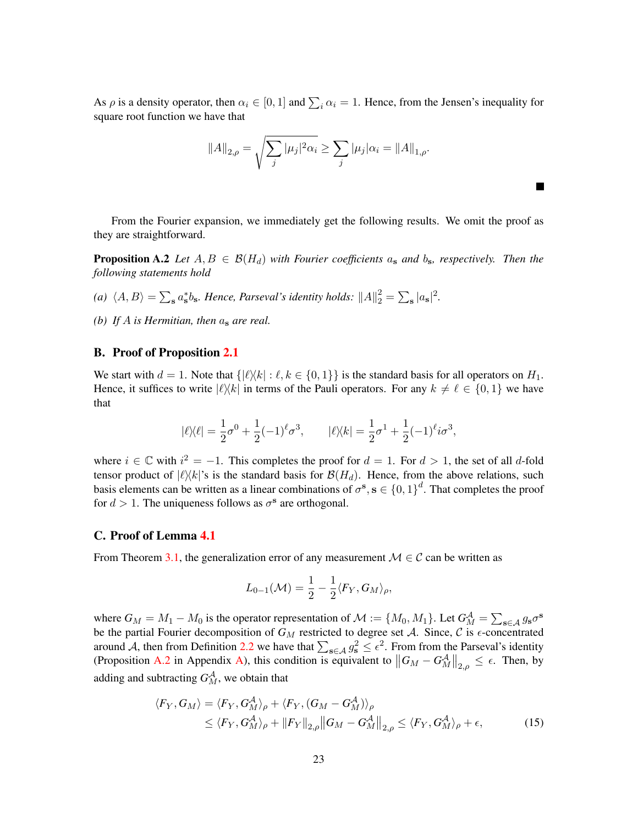As  $\rho$  is a density operator, then  $\alpha_i \in [0, 1]$  and  $\sum_i \alpha_i = 1$ . Hence, from the Jensen's inequality for square root function we have that

<span id="page-22-2"></span>
$$
||A||_{2,\rho} = \sqrt{\sum_{j} |\mu_j|^2 \alpha_i} \ge \sum_{j} |\mu_j| \alpha_i = ||A||_{1,\rho}.
$$

٠

From the Fourier expansion, we immediately get the following results. We omit the proof as they are straightforward.

**Proposition A.2** Let  $A, B \in \mathcal{B}(H_d)$  with Fourier coefficients  $a_s$  and  $b_s$ , respectively. Then the *following statements hold*

- (a)  $\langle A, B \rangle = \sum_{s} a_s^* b_s$ . Hence, Parseval's identity holds:  $||A||_2^2 = \sum_{s} |a_s|^2$ .
- *(b) If* A *is Hermitian, then* a<sup>s</sup> *are real.*

#### <span id="page-22-0"></span>B. Proof of Proposition [2.1](#page-6-2)

We start with  $d = 1$ . Note that  $\{|\ell\rangle\langle k| : \ell, k \in \{0, 1\}\}\$  is the standard basis for all operators on  $H_1$ . Hence, it suffices to write  $|\ell\rangle\langle k|$  in terms of the Pauli operators. For any  $k \neq \ell \in \{0, 1\}$  we have that

$$
|\ell \rangle \langle \ell| = \frac{1}{2} \sigma^0 + \frac{1}{2} (-1)^{\ell} \sigma^3, \qquad |\ell \rangle \langle k| = \frac{1}{2} \sigma^1 + \frac{1}{2} (-1)^{\ell} i \sigma^3,
$$

where  $i \in \mathbb{C}$  with  $i^2 = -1$ . This completes the proof for  $d = 1$ . For  $d > 1$ , the set of all d-fold tensor product of  $|\ell\rangle\langle k|$ 's is the standard basis for  $\mathcal{B}(H_d)$ . Hence, from the above relations, such basis elements can be written as a linear combinations of  $\sigma^s$ ,  $s \in \{0,1\}^d$ . That completes the proof for  $d > 1$ . The uniqueness follows as  $\sigma^s$  are orthogonal.

#### <span id="page-22-1"></span>C. Proof of Lemma [4.1](#page-15-4)

From Theorem [3.1,](#page-7-0) the generalization error of any measurement  $\mathcal{M} \in \mathcal{C}$  can be written as

<span id="page-22-3"></span>
$$
L_{0-1}(\mathcal{M}) = \frac{1}{2} - \frac{1}{2} \langle F_Y, G_M \rangle_{\rho},
$$

where  $G_M = M_1 - M_0$  is the operator representation of  $\mathcal{M} := \{M_0, M_1\}$ . Let  $G_M^{\mathcal{A}} = \sum_{s \in \mathcal{A}} g_s \sigma^s$ be the partial Fourier decomposition of  $G_M$  restricted to degree set A. Since, C is  $\epsilon$ -concentrated around A, then from Definition [2.2](#page-7-1) we have that  $\sum_{s \in A} g_s^2 \leq \epsilon^2$ . From from the Parseval's identity (Proposition [A.2](#page-22-2) in Appendix [A\)](#page-21-3), this condition is equivalent to  $||G_M - G_M^{\mathcal{A}}||_{2,\rho} \leq \epsilon$ . Then, by adding and subtracting  $G_{M}^{\mathcal{A}},$  we obtain that

$$
\langle F_Y, G_M \rangle = \langle F_Y, G_M^A \rangle_{\rho} + \langle F_Y, (G_M - G_M^A) \rangle_{\rho}
$$
  
\n
$$
\leq \langle F_Y, G_M^A \rangle_{\rho} + ||F_Y||_{2,\rho} ||G_M - G_M^A||_{2,\rho} \leq \langle F_Y, G_M^A \rangle_{\rho} + \epsilon,
$$
 (15)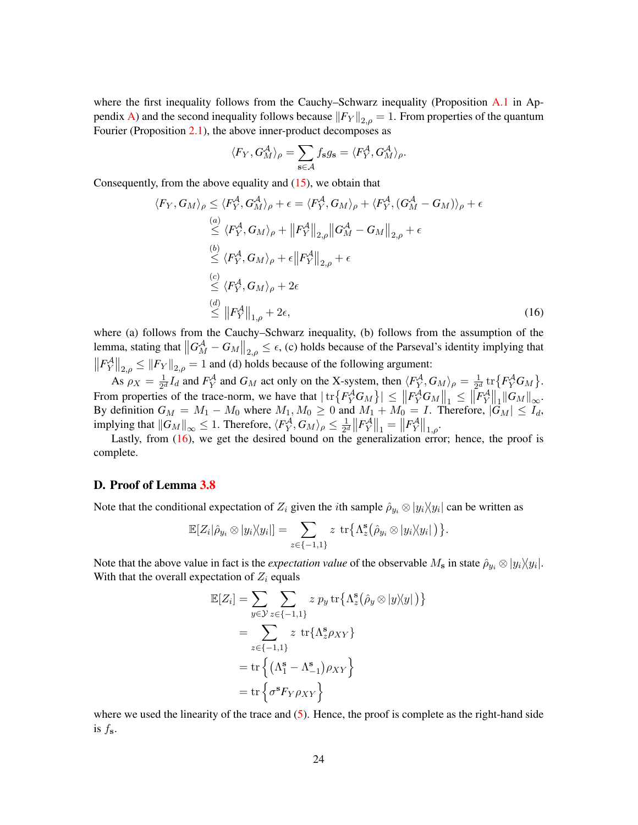where the first inequality follows from the Cauchy–Schwarz inequality (Proposition [A.1](#page-21-2) in Ap-pendix [A\)](#page-21-3) and the second inequality follows because  $||F_Y||_{2,\rho} = 1$ . From properties of the quantum Fourier (Proposition [2.1\)](#page-6-2), the above inner-product decomposes as

$$
\langle F_Y, G_M^{\mathcal{A}} \rangle_{\rho} = \sum_{\mathbf{s} \in \mathcal{A}} f_{\mathbf{s}} g_{\mathbf{s}} = \langle F_Y^{\mathcal{A}}, G_M^{\mathcal{A}} \rangle_{\rho}.
$$

Consequently, from the above equality and  $(15)$ , we obtain that

$$
\langle F_Y, G_M \rangle_{\rho} \leq \langle F_Y^{\mathcal{A}}, G_M^{\mathcal{A}} \rangle_{\rho} + \epsilon = \langle F_Y^{\mathcal{A}}, G_M \rangle_{\rho} + \langle F_Y^{\mathcal{A}}, (G_M^{\mathcal{A}} - G_M) \rangle_{\rho} + \epsilon
$$
  
\n
$$
\stackrel{(a)}{\leq} \langle F_Y^{\mathcal{A}}, G_M \rangle_{\rho} + \|F_Y^{\mathcal{A}}\|_{2,\rho} \|G_M^{\mathcal{A}} - G_M\|_{2,\rho} + \epsilon
$$
  
\n
$$
\stackrel{(b)}{\leq} \langle F_Y^{\mathcal{A}}, G_M \rangle_{\rho} + \epsilon \|F_Y^{\mathcal{A}}\|_{2,\rho} + \epsilon
$$
  
\n
$$
\stackrel{(c)}{\leq} \langle F_Y^{\mathcal{A}}, G_M \rangle_{\rho} + 2\epsilon
$$
  
\n
$$
\stackrel{(d)}{\leq} \|F_Y^{\mathcal{A}}\|_{1,\rho} + 2\epsilon,
$$
\n(16)

where (a) follows from the Cauchy–Schwarz inequality, (b) follows from the assumption of the lemma, stating that  $\left\|G_M^{\mathcal{A}} - G_M\right\|_{2,\rho} \leq \epsilon$ , (c) holds because of the Parseval's identity implying that  $||F_Y^{\mathcal{A}}||_{2,\rho} \le ||F_Y||_{2,\rho} = 1$  and (d) holds because of the following argument:

As  $\rho_X = \frac{1}{2^a}$  $\frac{1}{2^d}I_d$  and  $F_Y^{\mathcal{A}}$  and  $G_M$  act only on the X-system, then  $\langle F_Y^{\mathcal{A}}, G_M \rangle_{\rho} = \frac{1}{2^d}$  $\frac{1}{2^d}$  tr $\{F_Y^{\mathcal{A}} G_M\}.$ From properties of the trace-norm, we have that  $|\text{tr}\left\{F_Y^A G_M\right\}| \leq \|F_Y^A G_M\|_1 \leq \|F_Y^A\|_1 \|G_M\|_{\infty}$ . By definition  $G_M = M_1 - M_0$  where  $M_1, M_0 \ge 0$  and  $M_1 + M_0 = I$ . Therefore,  $|G_M| \le I_d$ , implying that  $||G_M||_{\infty} \leq 1$ . Therefore,  $\langle F_Y^{\mathcal{A}}, G_M \rangle_{\rho} \leq \frac{1}{2^c}$  $\frac{1}{2^d} \left\| F_Y^{\mathcal A} \right\|_1 = \left\| F_Y^{\mathcal A} \right\|_{1,\rho}.$ 

Lastly, from  $(16)$ , we get the desired bound on the generalization error; hence, the proof is complete.

#### <span id="page-23-0"></span>D. Proof of Lemma [3.8](#page-9-4)

Note that the conditional expectation of  $Z_i$  given the *i*th sample  $\hat{\rho}_{y_i} \otimes |y_i\rangle\langle y_i|$  can be written as

$$
\mathbb{E}[Z_i|\hat{\rho}_{y_i}\otimes|y_i\rangle\langle y_i|]=\sum_{z\in\{-1,1\}}z\,\operatorname{tr}\big\{\Lambda_z^{\mathbf{s}}\big(\hat{\rho}_{y_i}\otimes|y_i\rangle\langle y_i|\big)\big\}.
$$

Note that the above value in fact is the *expectation value* of the observable  $M_s$  in state  $\hat{\rho}_{y_i} \otimes |y_i\rangle\langle y_i|$ . With that the overall expectation of  $Z_i$  equals

$$
\mathbb{E}[Z_i] = \sum_{y \in \mathcal{Y}} \sum_{z \in \{-1,1\}} z p_y \operatorname{tr} \{ \Lambda_z^s(\hat{\rho}_y \otimes |y \rangle \langle y|) \}
$$

$$
= \sum_{z \in \{-1,1\}} z \operatorname{tr} \{ \Lambda_z^s \rho_{XY} \}
$$

$$
= \operatorname{tr} \left\{ (\Lambda_1^s - \Lambda_{-1}^s) \rho_{XY} \right\}
$$

$$
= \operatorname{tr} \left\{ \sigma^s F_Y \rho_{XY} \right\}
$$

where we used the linearity of the trace and  $(5)$ . Hence, the proof is complete as the right-hand side is  $f_s$ .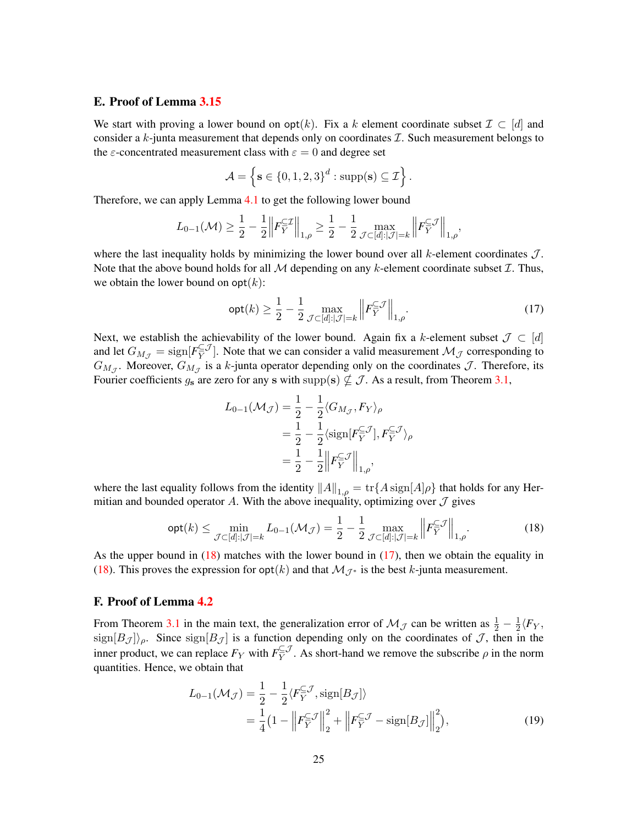## <span id="page-24-0"></span>E. Proof of Lemma [3.15](#page-13-2)

We start with proving a lower bound on  $opt(k)$ . Fix a k element coordinate subset  $\mathcal{I} \subset [d]$  and consider a  $k$ -junta measurement that depends only on coordinates  $\mathcal{I}$ . Such measurement belongs to the  $\varepsilon$ -concentrated measurement class with  $\varepsilon = 0$  and degree set

$$
\mathcal{A} = \left\{ \mathbf{s} \in \{0, 1, 2, 3\}^d : \text{supp}(\mathbf{s}) \subseteq \mathcal{I} \right\}.
$$

Therefore, we can apply Lemma [4.1](#page-15-4) to get the following lower bound

$$
L_{0-1}(\mathcal{M}) \geq \frac{1}{2} - \frac{1}{2} \left\| F_Y^{\subseteq \mathcal{I}} \right\|_{1,\rho} \geq \frac{1}{2} - \frac{1}{2} \max_{\mathcal{J} \subset [d]:|\mathcal{J}| = k} \left\| F_Y^{\subseteq \mathcal{J}} \right\|_{1,\rho},
$$

where the last inequality holds by minimizing the lower bound over all  $k$ -element coordinates  $\mathcal{J}$ . Note that the above bound holds for all  $M$  depending on any k-element coordinate subset  $\mathcal{I}$ . Thus, we obtain the lower bound on  $opt(k)$ :

<span id="page-24-3"></span>
$$
\operatorname{opt}(k) \ge \frac{1}{2} - \frac{1}{2} \max_{\mathcal{J} \subset [d]: |\mathcal{J}| = k} \left\| F_Y^{\subseteq \mathcal{J}} \right\|_{1, \rho}.
$$
 (17)

Next, we establish the achievability of the lower bound. Again fix a k-element subset  $\mathcal{J} \subset [d]$ and let  $G_{M_{\mathcal{J}}} = \text{sign}[F_{\overline{Y}}^{\subseteq \mathcal{J}}]$  $\mathbb{Z}_Y^{\subseteq J}$ . Note that we can consider a valid measurement  $\mathcal{M}_{\mathcal{J}}$  corresponding to  $G_{M_{\mathcal{J}}}$ . Moreover,  $G_{M_{\mathcal{J}}}$  is a k-junta operator depending only on the coordinates  $\mathcal{J}$ . Therefore, its Fourier coefficients  $g_s$  are zero for any s with supp(s)  $\nsubseteq \mathcal{J}$ . As a result, from Theorem [3.1,](#page-7-0)

<span id="page-24-2"></span>
$$
L_{0-1}(\mathcal{M}_{\mathcal{J}}) = \frac{1}{2} - \frac{1}{2} \langle G_{M_{\mathcal{J}}}, F_Y \rangle_{\rho}
$$
  
=  $\frac{1}{2} - \frac{1}{2} \langle \text{sign}[F_Y^{\subseteq \mathcal{J}}], F_Y^{\subseteq \mathcal{J}} \rangle_{\rho}$   
=  $\frac{1}{2} - \frac{1}{2} \left\| F_Y^{\subseteq \mathcal{J}} \right\|_{1,\rho}$ ,

where the last equality follows from the identity  $||A||_{1,\rho} = \text{tr}\{A\,\text{sign}[A]\rho\}$  that holds for any Hermitian and bounded operator A. With the above inequality, optimizing over  $\mathcal I$  gives

$$
\operatorname{opt}(k) \le \min_{\mathcal{J} \subset [d]: |\mathcal{J}| = k} L_{0-1}(\mathcal{M}_{\mathcal{J}}) = \frac{1}{2} - \frac{1}{2} \max_{\mathcal{J} \subset [d]: |\mathcal{J}| = k} \left\| F_Y^{\subseteq \mathcal{J}} \right\|_{1,\rho}.
$$
 (18)

As the upper bound in  $(18)$  matches with the lower bound in  $(17)$ , then we obtain the equality in [\(18\)](#page-24-2). This proves the expression for  $opt(k)$  and that  $\mathcal{M}_{\mathcal{J}^*}$  is the best k-junta measurement.

## <span id="page-24-1"></span>F. Proof of Lemma [4.2](#page-17-1)

From Theorem [3.1](#page-7-0) in the main text, the generalization error of  $\mathcal{M}_{\mathcal{J}}$  can be written as  $\frac{1}{2} - \frac{1}{2}\langle F_Y, \rangle$  $\frac{2}{2}$  sign $[B_{\mathcal{J}}]$ )<sub>p</sub>. Since sign $[B_{\mathcal{J}}]$  is a function depending only on the coordinates of  $\mathcal{J}$ , then in the inner product, we can replace  $F_Y$  with  $F_Y^{\subseteq J}$  $\sum_{Y}^{\subseteq J}$ . As short-hand we remove the subscribe  $\rho$  in the norm quantities. Hence, we obtain that

<span id="page-24-4"></span>
$$
L_{0-1}(\mathcal{M}_{\mathcal{J}}) = \frac{1}{2} - \frac{1}{2} \langle F_Y^{\subseteq \mathcal{J}}, \text{sign}[B_{\mathcal{J}}] \rangle
$$
  
= 
$$
\frac{1}{4} \left( 1 - \left\| F_Y^{\subseteq \mathcal{J}} \right\|_2^2 + \left\| F_Y^{\subseteq \mathcal{J}} - \text{sign}[B_{\mathcal{J}}] \right\|_2^2 \right),
$$
 (19)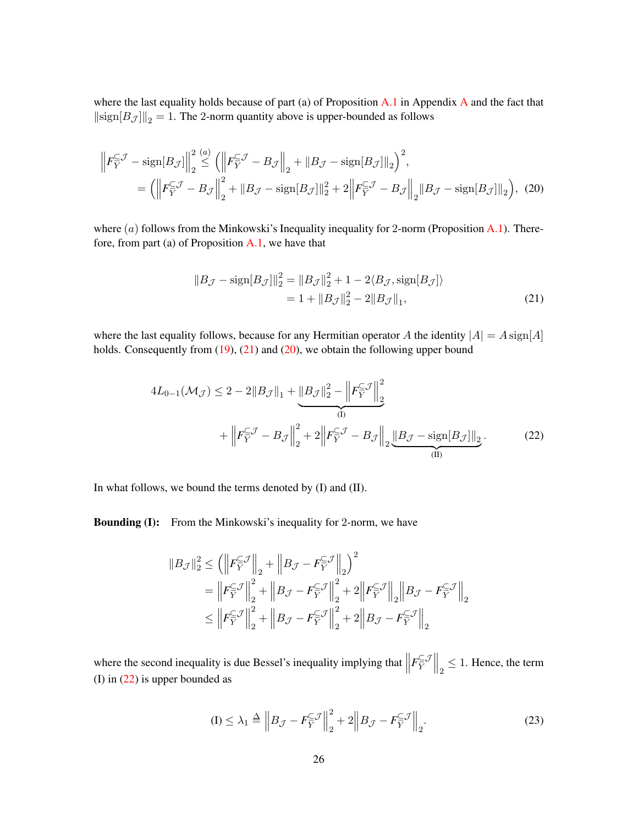where the last equality holds because of part (a) of Proposition [A.1](#page-21-2) in [A](#page-21-3)ppendix A and the fact that  $\Vert {\rm sign}[B_{\mathcal{J}}] \Vert_2 = 1.$  The 2-norm quantity above is upper-bounded as follows

$$
\left\| F_Y^{\subseteq \mathcal{J}} - \text{sign}[B_{\mathcal{J}}] \right\|_2^2 \stackrel{(a)}{\leq} \left( \left\| F_Y^{\subseteq \mathcal{J}} - B_{\mathcal{J}} \right\|_2 + \left\| B_{\mathcal{J}} - \text{sign}[B_{\mathcal{J}}] \right\|_2 \right)^2,
$$
  
= 
$$
\left( \left\| F_Y^{\subseteq \mathcal{J}} - B_{\mathcal{J}} \right\|_2^2 + \left\| B_{\mathcal{J}} - \text{sign}[B_{\mathcal{J}}] \right\|_2^2 + 2 \left\| F_Y^{\subseteq \mathcal{J}} - B_{\mathcal{J}} \right\|_2 \left\| B_{\mathcal{J}} - \text{sign}[B_{\mathcal{J}}] \right\|_2 \right), (20)
$$

where  $(a)$  follows from the Minkowski's Inequality inequality for 2-norm (Proposition [A.1\)](#page-21-2). Therefore, from part (a) of Proposition [A.1,](#page-21-2) we have that

<span id="page-25-1"></span><span id="page-25-0"></span>
$$
||B_{\mathcal{J}} - \text{sign}[B_{\mathcal{J}}]||_2^2 = ||B_{\mathcal{J}}||_2^2 + 1 - 2\langle B_{\mathcal{J}}, \text{sign}[B_{\mathcal{J}}] \rangle
$$
  
= 1 + ||B\_{\mathcal{J}}||\_2^2 - 2||B\_{\mathcal{J}}||\_1, (21)

where the last equality follows, because for any Hermitian operator A the identity  $|A| = A \operatorname{sign}[A]$ holds. Consequently from [\(19\)](#page-24-4), [\(21\)](#page-25-0) and [\(20\)](#page-24-4), we obtain the following upper bound

$$
4L_{0-1}(\mathcal{M}_{\mathcal{J}}) \le 2 - 2||B_{\mathcal{J}}||_1 + \underbrace{||B_{\mathcal{J}}||_2^2 - ||F_{Y}^{\subseteq \mathcal{J}}||_2^2}_{(I)} + \left||F_{Y}^{\subseteq \mathcal{J}} - B_{\mathcal{J}}\right||_2^2 + 2\left||F_{Y}^{\subseteq \mathcal{J}} - B_{\mathcal{J}}\right||_2 \underbrace{||B_{\mathcal{J}} - \text{sign}[B_{\mathcal{J}}]||_2}_{(II)}.
$$
\n(22)

In what follows, we bound the terms denoted by (I) and (II).

Bounding (I): From the Minkowski's inequality for 2-norm, we have

$$
\begin{aligned} \left\|B_{\mathcal{J}}\right\|_2^2 &\leq \left(\left\|F_Y^{\subseteq \mathcal{J}}\right\|_2+\left\|B_{\mathcal{J}}-F_Y^{\subseteq \mathcal{J}}\right\|_2\right)^2\\ &=\left\|F_Y^{\subseteq \mathcal{J}}\right\|_2^2+\left\|B_{\mathcal{J}}-F_Y^{\subseteq \mathcal{J}}\right\|_2^2+2\left\|F_Y^{\subseteq \mathcal{J}}\right\|_2\left\|B_{\mathcal{J}}-F_Y^{\subseteq \mathcal{J}}\right\|_2\\ &\leq \left\|F_Y^{\subseteq \mathcal{J}}\right\|_2^2+\left\|B_{\mathcal{J}}-F_Y^{\subseteq \mathcal{J}}\right\|_2^2+2\left\|B_{\mathcal{J}}-F_Y^{\subseteq \mathcal{J}}\right\|_2\end{aligned}
$$

where the second inequality is due Bessel's inequality implying that  $\|\theta\|$  $F_Y^{\subseteq J}$  $\left\| \frac{C}{Y} \right\|_2 \leq 1$ . Hence, the term (I) in [\(22\)](#page-25-1) is upper bounded as

<span id="page-25-2"></span>
$$
(I) \leq \lambda_1 \triangleq \left\| B_{\mathcal{J}} - F_Y^{\subseteq \mathcal{J}} \right\|_2^2 + 2 \left\| B_{\mathcal{J}} - F_Y^{\subseteq \mathcal{J}} \right\|_2.
$$
 (23)